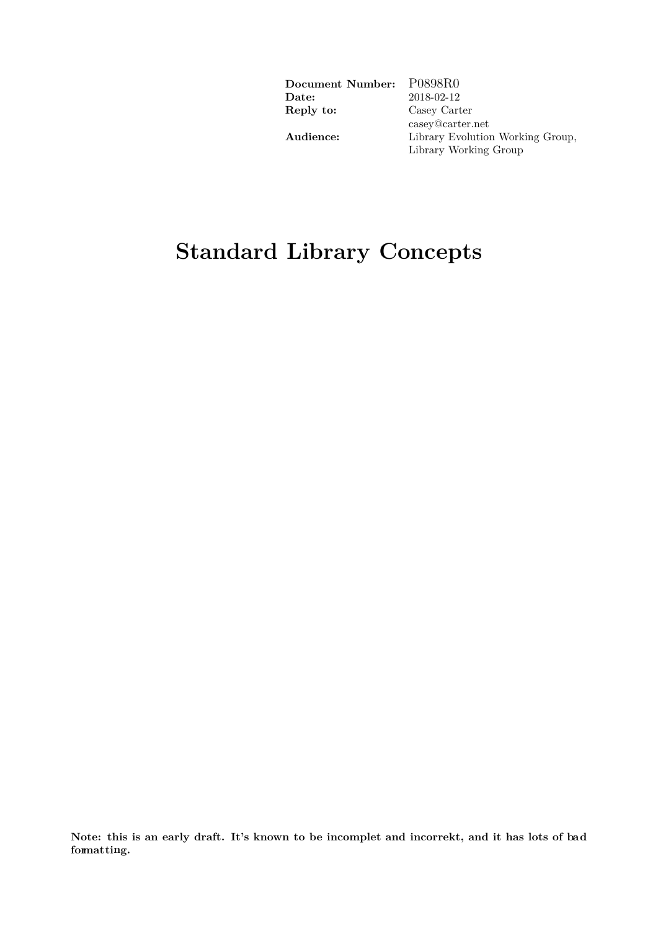| Document Number:      | P0898R0                          |
|-----------------------|----------------------------------|
| $\rm{\textbf{Date}:}$ | 2018-02-12                       |
| Reply to:             | Casey Carter                     |
|                       | casey@carter.net                 |
| Audience:             | Library Evolution Working Group, |
|                       | Library Working Group            |

# **Standard Library Concepts**

**Note: this is an early draft. It's known to be incomplet and incorrekt, and it has lots of bad formatting.**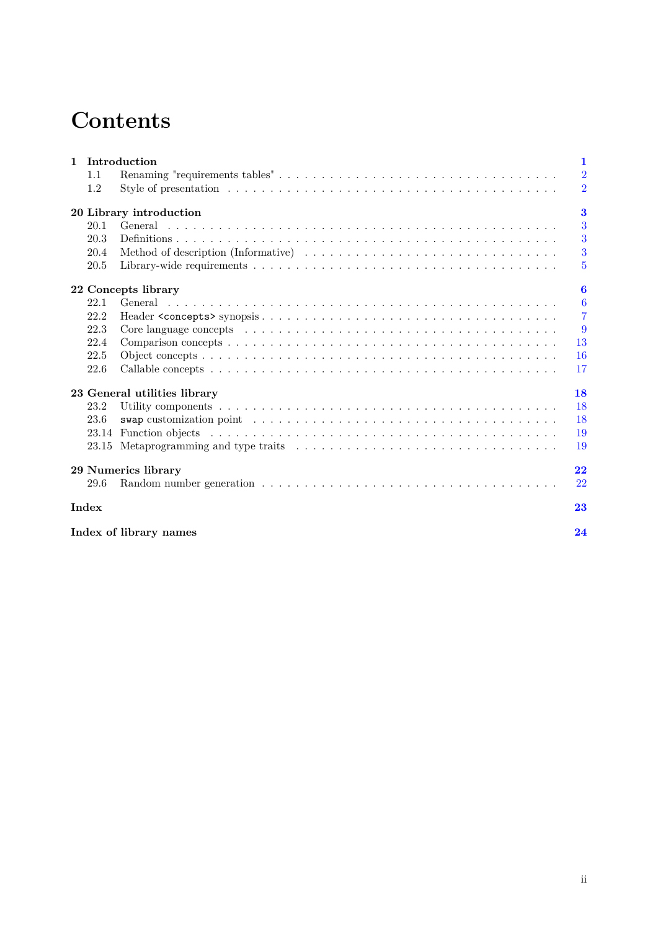# **Contents**

| $\mathbf{1}$ |       | Introduction                                                                                                                                                                                                                  | 1              |
|--------------|-------|-------------------------------------------------------------------------------------------------------------------------------------------------------------------------------------------------------------------------------|----------------|
|              | 1.1   |                                                                                                                                                                                                                               | $\overline{2}$ |
|              | 1.2   |                                                                                                                                                                                                                               | $\overline{2}$ |
|              |       | 20 Library introduction                                                                                                                                                                                                       | $\bf{3}$       |
|              | 20.1  |                                                                                                                                                                                                                               | 3              |
|              | 20.3  |                                                                                                                                                                                                                               | 3              |
|              | 20.4  |                                                                                                                                                                                                                               | 3              |
|              | 20.5  |                                                                                                                                                                                                                               | 5              |
|              |       | 22 Concepts library                                                                                                                                                                                                           | 6              |
|              | 22.1  |                                                                                                                                                                                                                               | 6              |
|              | 22.2  |                                                                                                                                                                                                                               | $\overline{7}$ |
|              | 22.3  | Core language concepts entering in the set of the set of the set of the set of the set of the set of the set of the set of the set of the set of the set of the set of the set of the set of the set of the set of the set of | 9              |
|              | 22.4  |                                                                                                                                                                                                                               | 13             |
|              | 22.5  |                                                                                                                                                                                                                               | 16             |
|              | 22.6  |                                                                                                                                                                                                                               | 17             |
|              |       | 23 General utilities library                                                                                                                                                                                                  | 18             |
|              | 23.2  |                                                                                                                                                                                                                               | 18             |
|              | 23.6  | swap customization point $\ldots \ldots \ldots \ldots \ldots \ldots \ldots \ldots \ldots \ldots \ldots \ldots \ldots$                                                                                                         | 18             |
|              | 23.14 |                                                                                                                                                                                                                               | 19             |
|              | 23.15 |                                                                                                                                                                                                                               | 19             |
|              |       | 29 Numerics library                                                                                                                                                                                                           | 22             |
|              | 29.6  |                                                                                                                                                                                                                               | 22             |
|              | Index |                                                                                                                                                                                                                               | 23             |
|              |       | Index of library names                                                                                                                                                                                                        | 24             |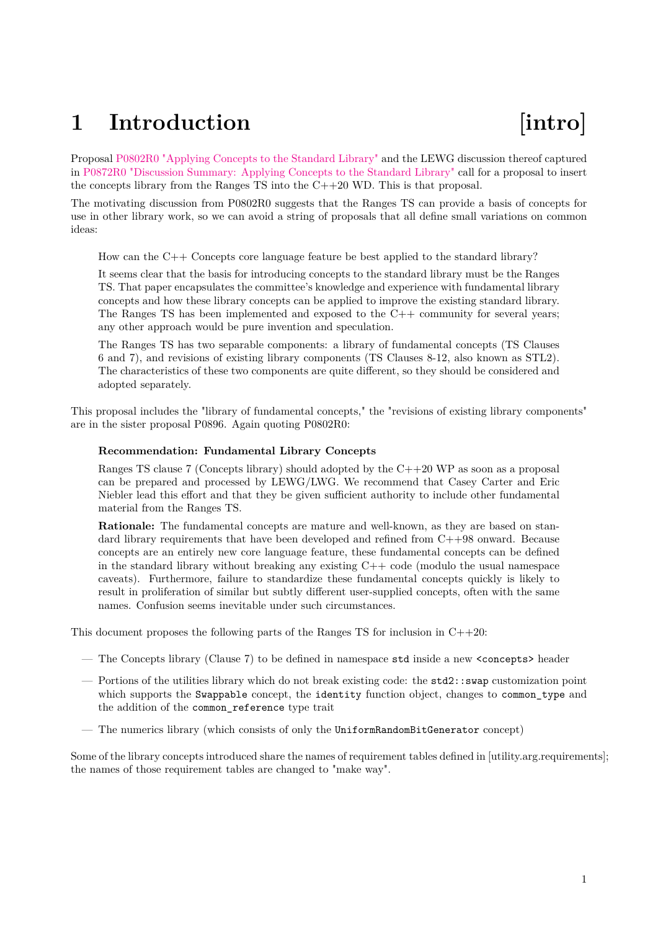# <span id="page-2-0"></span>1 Introduction **[intro]**

Proposal [P0802R0 "Applying Concepts to the Standard Library"](https://wg21.link/p0802r0) and the LEWG discussion thereof captured in [P0872R0 "Discussion Summary: Applying Concepts to the Standard Library"](https://wg21.link/p0872r0) call for a proposal to insert the concepts library from the Ranges  $TS$  into the  $C++20$  WD. This is that proposal.

The motivating discussion from P0802R0 suggests that the Ranges TS can provide a basis of concepts for use in other library work, so we can avoid a string of proposals that all define small variations on common ideas:

How can the C++ Concepts core language feature be best applied to the standard library?

It seems clear that the basis for introducing concepts to the standard library must be the Ranges TS. That paper encapsulates the committee's knowledge and experience with fundamental library concepts and how these library concepts can be applied to improve the existing standard library. The Ranges TS has been implemented and exposed to the C++ community for several years; any other approach would be pure invention and speculation.

The Ranges TS has two separable components: a library of fundamental concepts (TS Clauses 6 and 7), and revisions of existing library components (TS Clauses 8-12, also known as STL2). The characteristics of these two components are quite different, so they should be considered and adopted separately.

This proposal includes the "library of fundamental concepts," the "revisions of existing library components" are in the sister proposal P0896. Again quoting P0802R0:

### **Recommendation: Fundamental Library Concepts**

Ranges TS clause 7 (Concepts library) should adopted by the  $C++20$  WP as soon as a proposal can be prepared and processed by LEWG/LWG. We recommend that Casey Carter and Eric Niebler lead this effort and that they be given sufficient authority to include other fundamental material from the Ranges TS.

**Rationale:** The fundamental concepts are mature and well-known, as they are based on standard library requirements that have been developed and refined from  $C++98$  onward. Because concepts are an entirely new core language feature, these fundamental concepts can be defined in the standard library without breaking any existing  $C++$  code (modulo the usual namespace caveats). Furthermore, failure to standardize these fundamental concepts quickly is likely to result in proliferation of similar but subtly different user-supplied concepts, often with the same names. Confusion seems inevitable under such circumstances.

This document proposes the following parts of the Ranges TS for inclusion in  $C++20$ :

- The Concepts library (Clause 7) to be defined in namespace std inside a new <concepts> header
- Portions of the utilities library which do not break existing code: the std2::swap customization point which supports the Swappable concept, the identity function object, changes to common\_type and the addition of the common\_reference type trait
- The numerics library (which consists of only the UniformRandomBitGenerator concept)

Some of the library concepts introduced share the names of requirement tables defined in [utility.arg.requirements]; the names of those requirement tables are changed to "make way".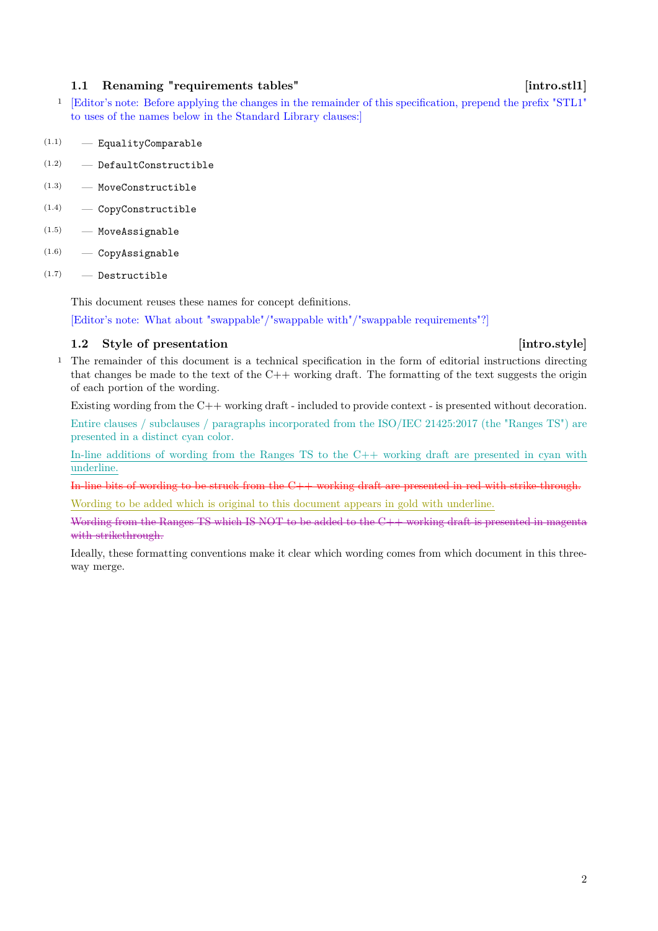# <span id="page-3-0"></span>1.1 Renaming "requirements tables" [intro.stl1]

<sup>1</sup> [Editor's note: Before applying the changes in the remainder of this specification, prepend the prefix "STL1" to uses of the names below in the Standard Library clauses:]

- $(1.1)$  EqualityComparable
- $(1.2)$  DefaultConstructible
- $(1.3)$  MoveConstructible
- (1.4) CopyConstructible
- (1.5) MoveAssignable
- (1.6) CopyAssignable
- $(1.7)$  Destructible

This document reuses these names for concept definitions.

[Editor's note: What about "swappable"/"swappable with"/"swappable requirements"?]

## <span id="page-3-1"></span>**1.2** Style of presentation [intro.style]

<sup>1</sup> The remainder of this document is a technical specification in the form of editorial instructions directing that changes be made to the text of the  $C++$  working draft. The formatting of the text suggests the origin of each portion of the wording.

Existing wording from the C++ working draft - included to provide context - is presented without decoration.

Entire clauses / subclauses / paragraphs incorporated from the ISO/IEC 21425:2017 (the "Ranges TS") are presented in a distinct cyan color.

In-line additions of wording from the Ranges TS to the  $C_{++}$  working draft are presented in cyan with underline.

In-line bits of wording to be struck from the  $C++$  working draft are presented in red with strike-through.

Wording to be added which is original to this document appears in gold with underline.

Wording from the Ranges TS which IS NOT to be added to the C++ working draft is presented in magenta with strikethrough.

Ideally, these formatting conventions make it clear which wording comes from which document in this threeway merge.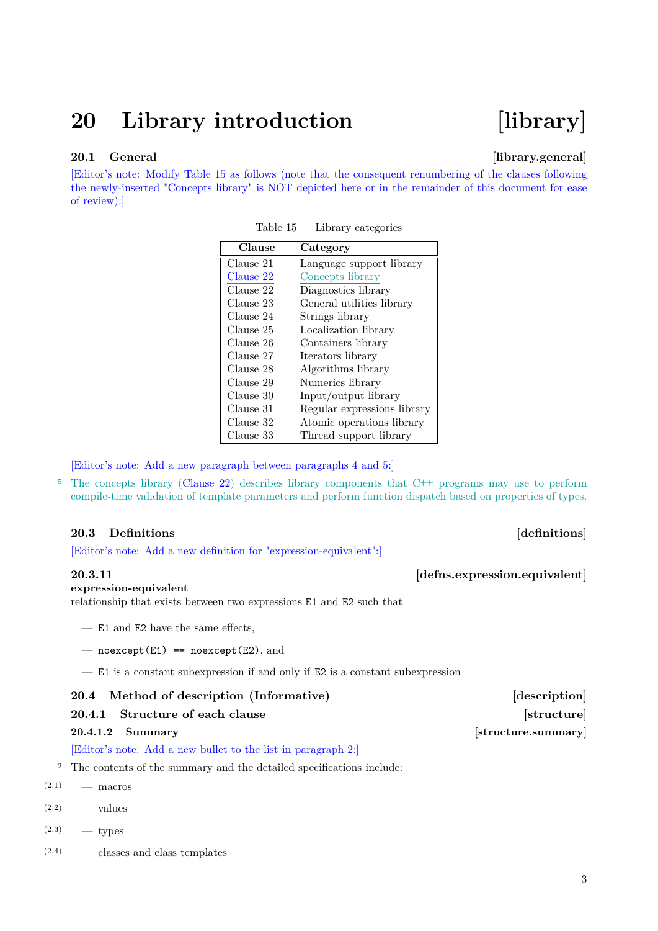# <span id="page-4-6"></span><span id="page-4-0"></span>**20 Library introduction [library]**

## <span id="page-4-1"></span>20.1 General **[library.general]**

[Editor's note: Modify Table [15](#page-4-4) as follows (note that the consequent renumbering of the clauses following the newly-inserted "Concepts library" is NOT depicted here or in the remainder of this document for ease of review):]

| Clause    | Category                    |
|-----------|-----------------------------|
| Clause 21 | Language support library    |
| Clause 22 | Concepts library            |
| Clause 22 | Diagnostics library         |
| Clause 23 | General utilities library   |
| Clause 24 | Strings library             |
| Clause 25 | Localization library        |
| Clause 26 | Containers library          |
| Clause 27 | Iterators library           |
| Clause 28 | Algorithms library          |
| Clause 29 | Numerics library            |
| Clause 30 | Input/output library        |
| Clause 31 | Regular expressions library |
| Clause 32 | Atomic operations library   |
| Clause 33 | Thread support library      |

<span id="page-4-4"></span>Table 15 — Library categories

[Editor's note: Add a new paragraph between paragraphs 4 and 5:]

<sup>5</sup> The concepts library [\(Clause 22\)](#page-7-2) describes library components that C**++** programs may use to perform compile-time validation of template parameters and perform function dispatch based on properties of types.

### <span id="page-4-2"></span>**20.3 Definitions** *definitions*

[Editor's note: Add a new definition for "expression-equivalent":]

### **expression-equivalent**

relationship that exists between two expressions E1 and E2 such that

- E1 and E2 have the same effects,
- $-$  noexcept(E1) == noexcept(E2), and
- E1 is a constant subexpression if and only if E2 is a constant subexpression

### <span id="page-4-3"></span>**20.4 Method of description (Informative) [description]**

### **20.4.1** Structure of each clause **implementary in the structure** [structure]

### [Editor's note: Add a new bullet to the list in paragraph 2:]

- <sup>2</sup> The contents of the summary and the detailed specifications include:
- $(2.1)$  macros
- $(2.2)$  values
- $(2.3)$  types
- (2.4) classes and class templates

<span id="page-4-5"></span>**20.3.11** *defins.expression.equivalent* 

### **20.4.1.2 Summary** *CO-4.1.2 Summary CO-4.1.2 Summary*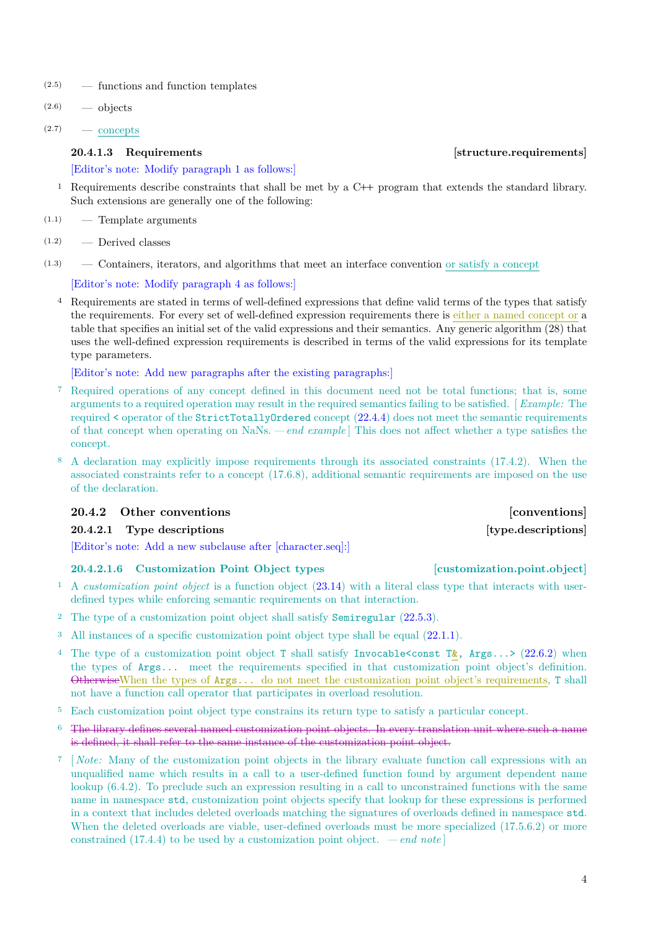- <span id="page-5-2"></span>(2.5) — functions and function templates
- $(2.6)$  objects
- $(2.7)$  concepts

### [Editor's note: Modify paragraph 1 as follows:]

- <sup>1</sup> Requirements describe constraints that shall be met by a C**++** program that extends the standard library. Such extensions are generally one of the following:
- (1.1) Template arguments
- (1.2) Derived classes
- $(1.3)$  Containers, iterators, and algorithms that meet an interface convention or satisfy a concept

# [Editor's note: Modify paragraph 4 as follows:]

<sup>4</sup> Requirements are stated in terms of well-defined expressions that define valid terms of the types that satisfy the requirements. For every set of well-defined expression requirements there is either a named concept or a table that specifies an initial set of the valid expressions and their semantics. Any generic algorithm (28) that uses the well-defined expression requirements is described in terms of the valid expressions for its template type parameters.

[Editor's note: Add new paragraphs after the existing paragraphs:]

- <sup>7</sup> Required operations of any concept defined in this document need not be total functions; that is, some arguments to a required operation may result in the required semantics failing to be satisfied. [ *Example:* The required < operator of the StrictTotallyOrdered concept [\(22.4.4\)](#page-16-0) does not meet the semantic requirements of that concept when operating on NaNs. *— end example* ] This does not affect whether a type satisfies the concept.
- <sup>8</sup> A declaration may explicitly impose requirements through its associated constraints (17.4.2). When the associated constraints refer to a concept (17.6.8), additional semantic requirements are imposed on the use of the declaration.

## **20.4.2 Other conventions [conventions]**

## **20.4.2.1 Type descriptions [type.descriptions]**

[Editor's note: Add a new subclause after [character.seq]:]

# <span id="page-5-1"></span>**20.4.2.1.6 Customization Point Object types [customization.point.object]**

- <sup>1</sup> A *customization point object* is a function object [\(23.14\)](#page-20-0) with a literal class type that interacts with userdefined types while enforcing semantic requirements on that interaction.
- <sup>2</sup> The type of a customization point object shall satisfy Semiregular [\(22.5.3\)](#page-17-1).
- <sup>3</sup> All instances of a specific customization point object type shall be equal [\(22.1.1\)](#page-7-3).
- <sup>4</sup> The type of a customization point object T shall satisfy Invocable <const T&, Args...> [\(22.6.2\)](#page-18-1) when the types of Args... meet the requirements specified in that customization point object's definition. OtherwiseWhen the types of Args... do not meet the customization point object's requirements, T shall not have a function call operator that participates in overload resolution.
- <sup>5</sup> Each customization point object type constrains its return type to satisfy a particular concept.
- <sup>6</sup> The library defines several named customization point objects. In every translation unit where such a name is defined, it shall refer to the same instance of the customization point object.
- <sup>7</sup> [ *Note:* Many of the customization point objects in the library evaluate function call expressions with an unqualified name which results in a call to a user-defined function found by argument dependent name lookup (6.4.2). To preclude such an expression resulting in a call to unconstrained functions with the same name in namespace std, customization point objects specify that lookup for these expressions is performed in a context that includes deleted overloads matching the signatures of overloads defined in namespace std. When the deleted overloads are viable, user-defined overloads must be more specialized (17.5.6.2) or more constrained  $(17.4.4)$  to be used by a customization point object. *— end note*

# <span id="page-5-0"></span>**20.4.1.3 Requirements** *Requirements Requirements Requirements*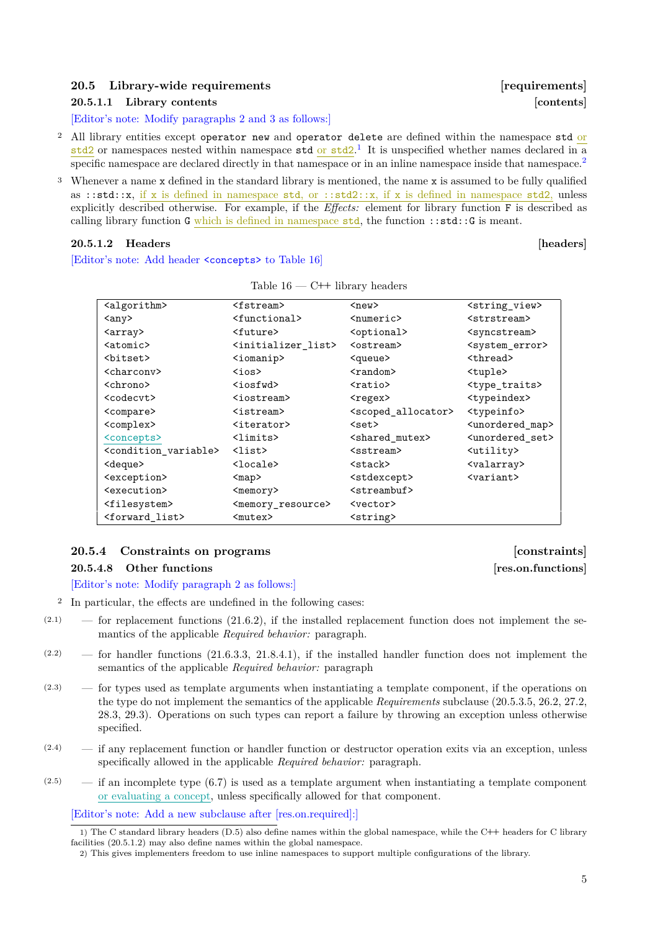## <span id="page-6-4"></span><span id="page-6-0"></span>**20.5 Library-wide requirements [requirements]**

### **20.5.1.1 Library contents [contents]**

[Editor's note: Modify paragraphs 2 and 3 as follows:]

- <sup>2</sup> All library entities except operator new and operator delete are defined within the namespace std or std2 or namespaces nested within namespace std or std2.<sup>[1](#page-6-1)</sup> It is unspecified whether names declared in a specific namespace are declared directly in that namespace or in an inline namespace inside that namespace.<sup>[2](#page-6-2)</sup>
- <sup>3</sup> Whenever a name x defined in the standard library is mentioned, the name x is assumed to be fully qualified as ::std::x, if x is defined in namespace std, or ::std2::x, if x is defined in namespace std2, unless explicitly described otherwise. For example, if the *Effects:* element for library function F is described as calling library function G which is defined in namespace  $std$ , the function :: $std$ ::G is meant.

### **20.5.1.2 Headers [headers]**

[Editor's note: Add header <concepts> to Table [16\]](#page-6-3)

| <algorithm></algorithm>                   | <fstream></fstream>                 | $new$                          | <string view=""></string>       |
|-------------------------------------------|-------------------------------------|--------------------------------|---------------------------------|
| $\langle$ any $\rangle$                   | <functional></functional>           | <numeric></numeric>            | <strstream></strstream>         |
| <array></array>                           | <future></future>                   | <optional></optional>          | <syncstream></syncstream>       |
| $<$ atomic $>$                            | <initializer list=""></initializer> | <ostream></ostream>            | <system_error></system_error>   |
| <bitset></bitset>                         | $\langle$ iomanip $\rangle$         | <queue></queue>                | <thread></thread>               |
| <charcony></charcony>                     | $\zeta$ ios $>$                     | $<$ random $>$                 | <tuple></tuple>                 |
| <chrono></chrono>                         | <iosfwd></iosfwd>                   | $ratio$                        | <type_traits></type_traits>     |
| <codecvt></codecvt>                       | <iostream></iostream>               | <regex></regex>                | <typeindex></typeindex>         |
| <compare></compare>                       | <istream></istream>                 | <scoped allocator=""></scoped> | $typeinfo$                      |
| <complex></complex>                       | <iterator></iterator>               | $<$ set $>$                    | <unordered map=""></unordered>  |
| <concepts></concepts>                     | <limits></limits>                   | <shared mutex=""></shared>     | <unordered_set></unordered_set> |
| <condition_variable></condition_variable> | $\langle$ list $\rangle$            | <sstream></sstream>            | <utility></utility>             |
| <deque></deque>                           | $locale$                            | <stack></stack>                | <valarray></valarray>           |
| <exception></exception>                   | $map$                               | <stdexcept></stdexcept>        | <variant></variant>             |
| <execution></execution>                   | <memory></memory>                   | <streambuf></streambuf>        |                                 |
| <filesystem></filesystem>                 | <memory_resource></memory_resource> | <vector></vector>              |                                 |
| <forward_list></forward_list>             | <mutex></mutex>                     | <string></string>              |                                 |

<span id="page-6-3"></span>Table 16 — C**++** library headers

### **20.5.4 Constraints on programs [constraints]**

### **20.5.4.8 Other functions [res.on.functions]**

[Editor's note: Modify paragraph 2 as follows:]

- <sup>2</sup> In particular, the effects are undefined in the following cases:
- $(2.1)$  for replacement functions  $(21.6.2)$ , if the installed replacement function does not implement the semantics of the applicable *Required behavior:* paragraph.
- $(2.2)$  for handler functions  $(21.6.3.3, 21.8.4.1)$ , if the installed handler function does not implement the semantics of the applicable *Required behavior:* paragraph
- (2.3) for types used as template arguments when instantiating a template component, if the operations on the type do not implement the semantics of the applicable *Requirements* subclause (20.5.3.5, 26.2, 27.2, 28.3, 29.3). Operations on such types can report a failure by throwing an exception unless otherwise specified.
- $(2.4)$  if any replacement function or handler function or destructor operation exits via an exception, unless specifically allowed in the applicable *Required behavior:* paragraph.
- $(2.5)$  if an incomplete type (6.7) is used as a template argument when instantiating a template component or evaluating a concept, unless specifically allowed for that component.

[Editor's note: Add a new subclause after [res.on.required]:]

<span id="page-6-1"></span><sup>1)</sup> The C standard library headers (D.5) also define names within the global namespace, while the C**++** headers for C library facilities (20.5.1.2) may also define names within the global namespace.

<span id="page-6-2"></span><sup>2)</sup> This gives implementers freedom to use inline namespaces to support multiple configurations of the library.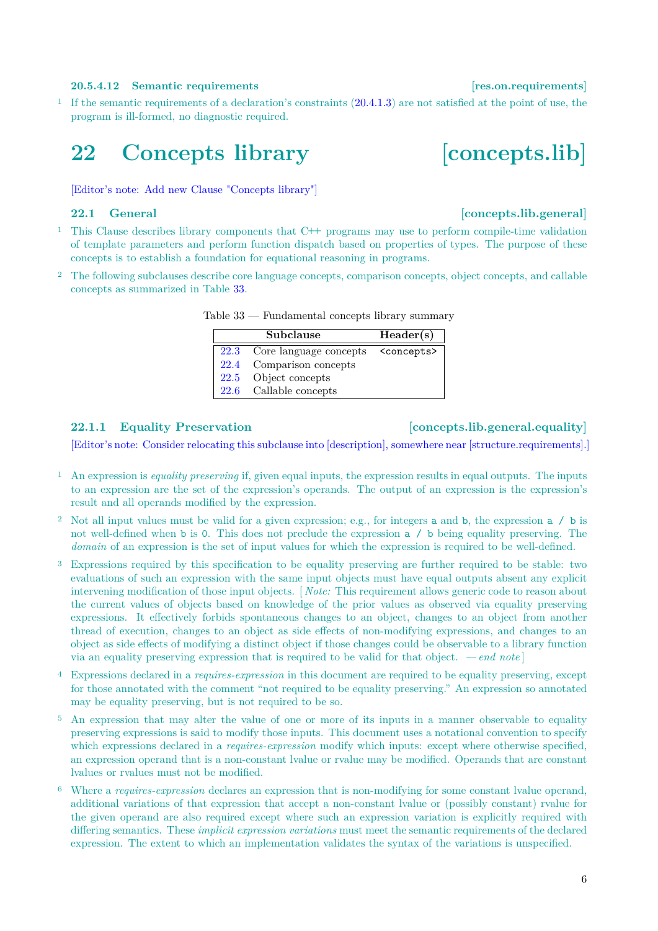### **20.5.4.12 Semantic requirements [res.on.requirements]**

<sup>1</sup> If the semantic requirements of a declaration's constraints [\(20.4.1.3\)](#page-5-0) are not satisfied at the point of use, the program is ill-formed, no diagnostic required.

# <span id="page-7-0"></span>**22 Concepts library [concepts.lib]**

<span id="page-7-2"></span>[Editor's note: Add new Clause "Concepts library"]

## <span id="page-7-1"></span>**22.1 General [concepts.lib.general]**

- <sup>1</sup> This Clause describes library components that C**++** programs may use to perform compile-time validation of template parameters and perform function dispatch based on properties of types. The purpose of these concepts is to establish a foundation for equational reasoning in programs.
- <sup>2</sup> The following subclauses describe core language concepts, comparison concepts, object concepts, and callable concepts as summarized in Table [33.](#page-7-4)

<span id="page-7-4"></span>

| Subclause                   | Header(s)             |
|-----------------------------|-----------------------|
| 22.3 Core language concepts | <concepts></concepts> |
| 22.4 Comparison concepts    |                       |
| 22.5 Object concepts        |                       |
| 22.6 Callable concepts      |                       |

Table 33 — Fundamental concepts library summary

### <span id="page-7-3"></span>**22.1.1 Equality Preservation [concepts.lib.general.equality]**

[Editor's note: Consider relocating this subclause into [description], somewhere near [structure.requirements].]

- <sup>1</sup> An expression is *equality preserving* if, given equal inputs, the expression results in equal outputs. The inputs to an expression are the set of the expression's operands. The output of an expression is the expression's result and all operands modified by the expression.
- <sup>2</sup> Not all input values must be valid for a given expression; e.g., for integers a and b, the expression a / b is not well-defined when b is 0. This does not preclude the expression a / b being equality preserving. The *domain* of an expression is the set of input values for which the expression is required to be well-defined.
- <sup>3</sup> Expressions required by this specification to be equality preserving are further required to be stable: two evaluations of such an expression with the same input objects must have equal outputs absent any explicit intervening modification of those input objects. [ *Note:* This requirement allows generic code to reason about the current values of objects based on knowledge of the prior values as observed via equality preserving expressions. It effectively forbids spontaneous changes to an object, changes to an object from another thread of execution, changes to an object as side effects of non-modifying expressions, and changes to an object as side effects of modifying a distinct object if those changes could be observable to a library function via an equality preserving expression that is required to be valid for that object. *— end note* ]
- <sup>4</sup> Expressions declared in a *requires-expression* in this document are required to be equality preserving, except for those annotated with the comment "not required to be equality preserving." An expression so annotated may be equality preserving, but is not required to be so.
- <sup>5</sup> An expression that may alter the value of one or more of its inputs in a manner observable to equality preserving expressions is said to modify those inputs. This document uses a notational convention to specify which expressions declared in a *requires-expression* modify which inputs: except where otherwise specified, an expression operand that is a non-constant lvalue or rvalue may be modified. Operands that are constant lvalues or rvalues must not be modified.
- <sup>6</sup> Where a *requires-expression* declares an expression that is non-modifying for some constant lvalue operand, additional variations of that expression that accept a non-constant lvalue or (possibly constant) rvalue for the given operand are also required except where such an expression variation is explicitly required with differing semantics. These *implicit expression variations* must meet the semantic requirements of the declared expression. The extent to which an implementation validates the syntax of the variations is unspecified.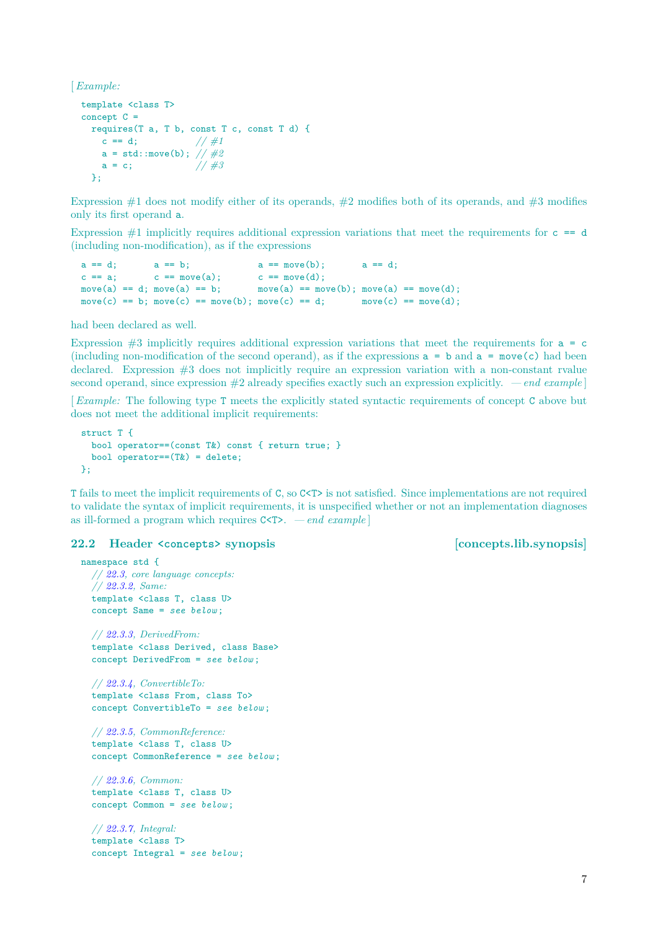<span id="page-8-1"></span>[*Example:*

```
template <class T>
concept C =requires(T a, T b, const T c, const T d) {
    c == d; // \#1a = std:move(b); // #2<br>a = c; // #3
   a = c;
 \lambda:
```
Expression  $\#1$  does not modify either of its operands,  $\#2$  modifies both of its operands, and  $\#3$  modifies only its first operand a.

Expression  $\#1$  implicitly requires additional expression variations that meet the requirements for  $c = d$ (including non-modification), as if the expressions

```
a == d; a == b; a == move(b); a == d;<br>
c == a; c == move(a); c == move(d);c == a; c == move(a); c == move(d);<br>move(a) == d; move(a) == b; move(a) == mo
                                   move(a) == move(b); move(a) == move(d);move(c) == b; move(c) == move(b); move(c) == d; move(c) == move(d);
```
had been declared as well.

Expression  $#3$  implicitly requires additional expression variations that meet the requirements for  $a = c$ (including non-modification of the second operand), as if the expressions  $a = b$  and  $a = move(c)$  had been declared. Expression #3 does not implicitly require an expression variation with a non-constant rvalue second operand, since expression #2 already specifies exactly such an expression explicitly. *— end example* ]

[*Example:* The following type T meets the explicitly stated syntactic requirements of concept C above but does not meet the additional implicit requirements:

```
struct T {
 bool operator==(const T&) const { return true; }
 bool operator==(T&) = delete:
};
```
T fails to meet the implicit requirements of C, so C<T> is not satisfied. Since implementations are not required to validate the syntax of implicit requirements, it is unspecified whether or not an implementation diagnoses as ill-formed a program which requires C<T>. *— end example* ]

### <span id="page-8-0"></span>**22.2 Header <concepts> synopsis [concepts.lib.synopsis]**

```
namespace std {
  // 22.3, core language concepts:
  // 22.3.2, Same:
  template <class T, class U>
  concept Same = see below ;
  // 22.3.3, DerivedFrom:
  template <class Derived, class Base>
  concept DerivedFrom = see below ;
  // 22.3.4, ConvertibleTo:
  template <class From, class To>
  concept ConvertibleTo = see below ;
  // 22.3.5, CommonReference:
  template <class T, class U>
  concept CommonReference = see below ;
  // 22.3.6, Common:
  template <class T, class U>
  concept Common = see below ;
```
*// [22.3.7,](#page-12-0) Integral:* template <class T> concept Integral = *see below* ;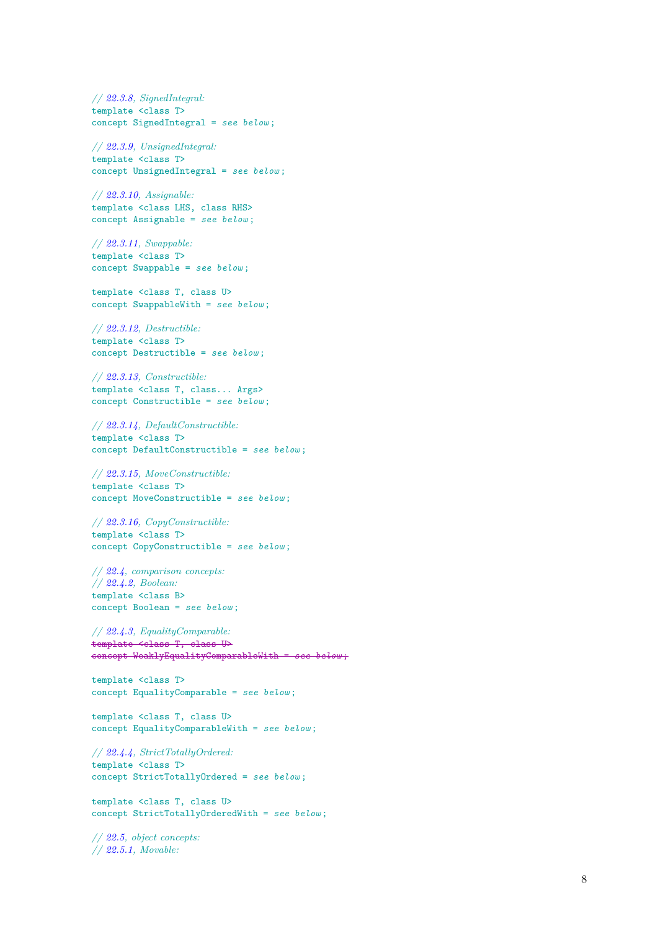*// [22.3.8,](#page-12-1) SignedIntegral:* template <class T> concept SignedIntegral = *see below* ;

*// [22.3.9,](#page-12-2) UnsignedIntegral:* template <class T> concept UnsignedIntegral = *see below* ;

*// [22.3.10,](#page-12-3) Assignable:* template <class LHS, class RHS> concept Assignable = *see below* ;

*// [22.3.11,](#page-13-0) Swappable:* template <class T> concept Swappable = *see below* ;

template <class T, class U> concept SwappableWith = *see below* ;

*// [22.3.12,](#page-14-1) Destructible:* template <class T> concept Destructible = *see below* ;

*// [22.3.13,](#page-14-2) Constructible:* template <class T, class... Args> concept Constructible = *see below* ;

*// [22.3.14,](#page-14-3) DefaultConstructible:* template <class T> concept DefaultConstructible = *see below* ;

*// [22.3.15,](#page-14-4) MoveConstructible:* template <class T> concept MoveConstructible = *see below* ;

*// [22.3.16,](#page-14-5) CopyConstructible:* template <class T> concept CopyConstructible = *see below* ;

*// [22.4,](#page-14-0) comparison concepts: // [22.4.2,](#page-15-0) Boolean:* template <class B> concept Boolean = *see below* ;

*// [22.4.3,](#page-15-1) EqualityComparable:* template <class T, class U> concept WeaklyEqualityComparableWith = *see below* ;

template <class T> concept EqualityComparable = *see below* ;

template <class T, class U> concept EqualityComparableWith = *see below* ;

*// [22.4.4,](#page-16-0) StrictTotallyOrdered:* template <class T> concept StrictTotallyOrdered = *see below* ;

template <class T, class U> concept StrictTotallyOrderedWith = *see below* ;

*// [22.5,](#page-17-0) object concepts: // [22.5.1,](#page-17-2) Movable:*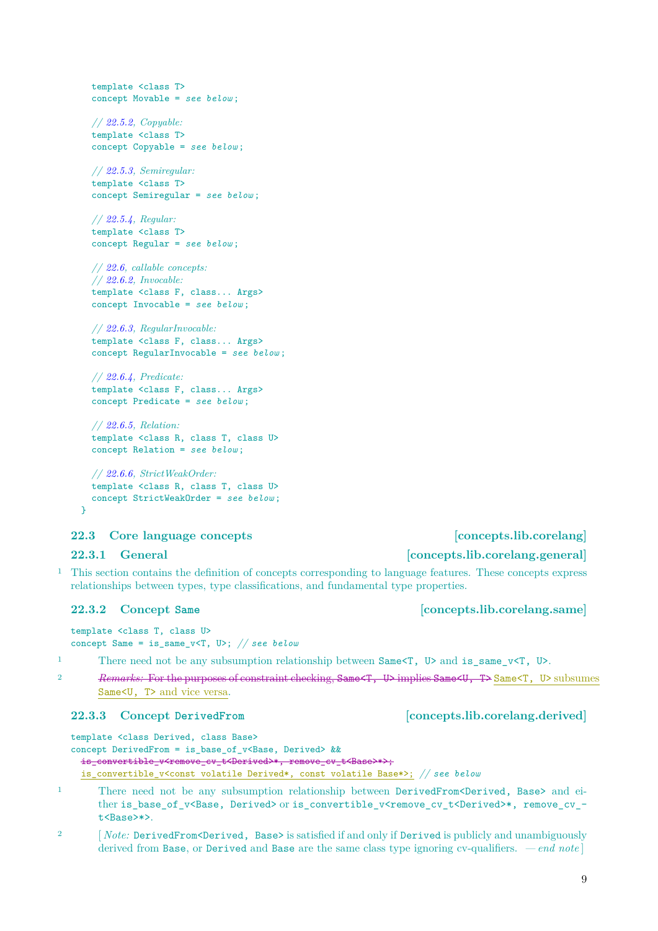```
// 22.5.4, Regular:
template <class T>
concept Regular = see below ;
// 22.6, callable concepts:
// 22.6.2, Invocable:
template <class F, class... Args>
concept Invocable = see below ;
// 22.6.3, RegularInvocable:
template <class F, class... Args>
concept RegularInvocable = see below ;
// 22.6.4, Predicate:
template <class F, class... Args>
concept Predicate = see below ;
```
*// [22.6.5,](#page-18-5) Relation:* template <class R, class T, class U> concept Relation = *see below* ;

```
// 22.6.6, StrictWeakOrder:
template <class R, class T, class U>
concept StrictWeakOrder = see below ;
```
<span id="page-10-0"></span>**22.3 Core language concepts [concepts.lib.corelang]**

## **22.3.1 General [concepts.lib.corelang.general]**

}

<sup>1</sup> This section contains the definition of concepts corresponding to language features. These concepts express relationships between types, type classifications, and fundamental type properties.

```
template <class T, class U>
concept Same = is_same_v<T, U>; // see below
```
1 There need not be any subsumption relationship between Same $\langle T, U \rangle$  and is same  $v \langle T, U \rangle$ .

<sup>2</sup> *Remarks:* For the purposes of constraint checking, Same<T, U> implies Same<U, T> Same<T, U> subsumes Same<U, T> and vice versa.

### <span id="page-10-2"></span>**22.3.3 Concept DerivedFrom [concepts.lib.corelang.derived]**

```
template <class Derived, class Base>
concept DerivedFrom = is_base_of_v<Base, Derived> &&
 is_convertible_v<remove_cv_t<Derived>*, remove_cv_t<Base>*>;
  is_convertible_v<const volatile Derived*, const volatile Base*>; // see below
```
- 1 There need not be any subsumption relationship between DerivedFrom<Derived, Base> and either is\_base\_of\_v<Base, Derived> or is\_convertible\_v<remove\_cv\_t<Derived>\*, remove\_cv\_t<Base>\*>.
- <sup>2</sup> [*Note:* DerivedFrom<Derived, Base> is satisfied if and only if Derived is publicly and unambiguously derived from Base, or Derived and Base are the same class type ignoring cv-qualifiers. *— end note* ]

# <span id="page-10-1"></span>**22.3.2 Concept Same [concepts.lib.corelang.same]**

```
template <class T>
concept Movable = see below ;
```

```
// 22.5.2, Copyable:
template <class T>
concept Copyable = see below ;
```

```
// 22.5.3, Semiregular:
template <class T>
concept Semiregular = see below ;
```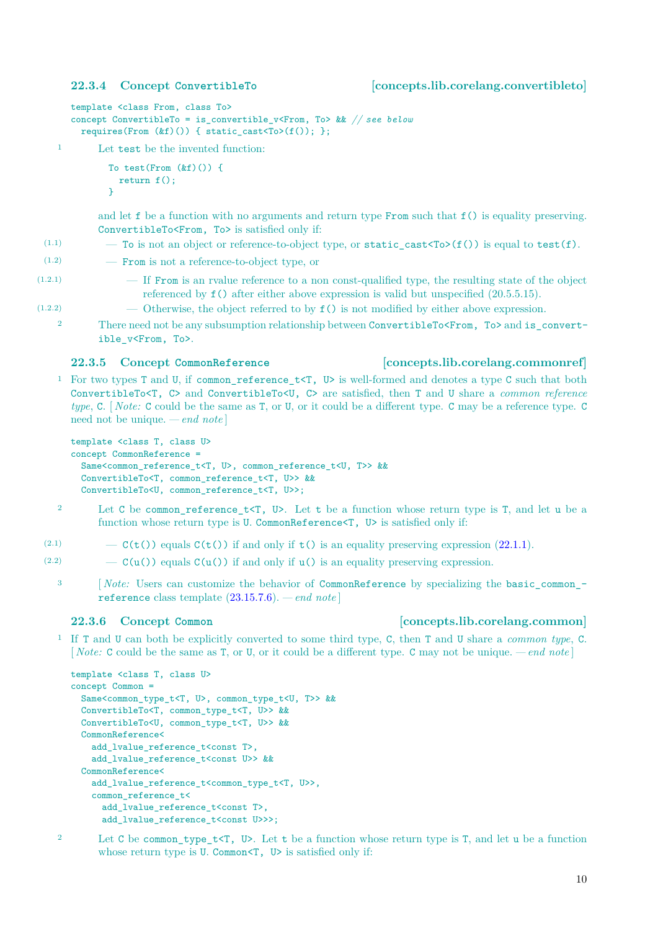### <span id="page-11-3"></span><span id="page-11-0"></span>**22.3.4 Concept ConvertibleTo [concepts.lib.corelang.convertibleto]**

template <class From, class To> concept ConvertibleTo = is\_convertible\_v<From, To> && *// see below* requires(From  $(kf)())$  { static\_cast<To>(f()); };

<sup>1</sup> Let test be the invented function:

```
To test(From (kf)()) {
  return f();
}
```
and let f be a function with no arguments and return type From such that f() is equality preserving. ConvertibleTo<From, To> is satisfied only if:

- (1.1)  $-$  To is not an object or reference-to-object type, or static\_cast<To>(f()) is equal to test(f).
- (1.2) From is not a reference-to-object type, or
- (1.2.1) If From is an rvalue reference to a non const-qualified type, the resulting state of the object referenced by f() after either above expression is valid but unspecified (20.5.5.15).
- (1.2.2) Otherwise, the object referred to by f() is not modified by either above expression.
	- 2 There need not be any subsumption relationship between ConvertibleTo<From, To> and is convertible\_v<From, To>.

### <span id="page-11-1"></span>**22.3.5 Concept CommonReference [concepts.lib.corelang.commonref]**

### <sup>1</sup> For two types T and U, if common\_reference\_t<T, U> is well-formed and denotes a type C such that both ConvertibleTo<T, C> and ConvertibleTo<U, C> are satisfied, then T and U share a *common reference type*, C. [ *Note:* C could be the same as T, or U, or it could be a different type. C may be a reference type. C need not be unique. *— end note* ]

```
template <class T, class U>
concept CommonReference =
 Same<common_reference_t<T, U>, common_reference_t<U, T>> &&
 ConvertibleTo<T, common_reference_t<T, U>> &&
  ConvertibleTo<U, common_reference_t<T, U>>;
```
- <sup>2</sup> Let C be common\_reference\_t<T, U>. Let t be a function whose return type is T, and let u be a function whose return type is U. CommonReference<T, U> is satisfied only if:
- (2.1)  $-\mathcal{C}(\mathsf{t}(\mathsf{t}))$  equals  $\mathcal{C}(\mathsf{t}(\mathsf{t}))$  if and only if  $\mathsf{t}(\mathsf{t})$  is an equality preserving expression [\(22.1.1\)](#page-7-3).
- (2.2)  $\qquad -C(u())$  equals  $C(u())$  if and only if  $u()$  is an equality preserving expression.
	- <sup>3</sup> [ *Note:* Users can customize the behavior of CommonReference by specializing the basic\_common\_reference class template [\(23.15.7.6\)](#page-21-0). *— end note* ]

# <span id="page-11-2"></span>**22.3.6 Concept Common [concepts.lib.corelang.common]**

<sup>1</sup> If T and U can both be explicitly converted to some third type, C, then T and U share a *common type*, C. [ *Note:* C could be the same as T, or U, or it could be a different type. C may not be unique. *— end note* ]

```
template <class T, class U>
concept Common =
 Same<common_type_t<T, U>, common_type_t<U, T>> &&
 ConvertibleTo<T, common_type_t<T, U>> &&
 ConvertibleTo<U, common_type_t<T, U>> &&
 CommonReference<
   add_lvalue_reference_t<const T>,
   add_lvalue_reference_t<const U>> &&
 CommonReference<
   add_lvalue_reference_t<common_type_t<T, U>>,
   common reference t<
     add_lvalue_reference_t<const T>,
     add_lvalue_reference_t<const U>>>:
```
<sup>2</sup> Let C be common\_type\_t<T, U>. Let t be a function whose return type is T, and let u be a function whose return type is U. Common<T, U> is satisfied only if: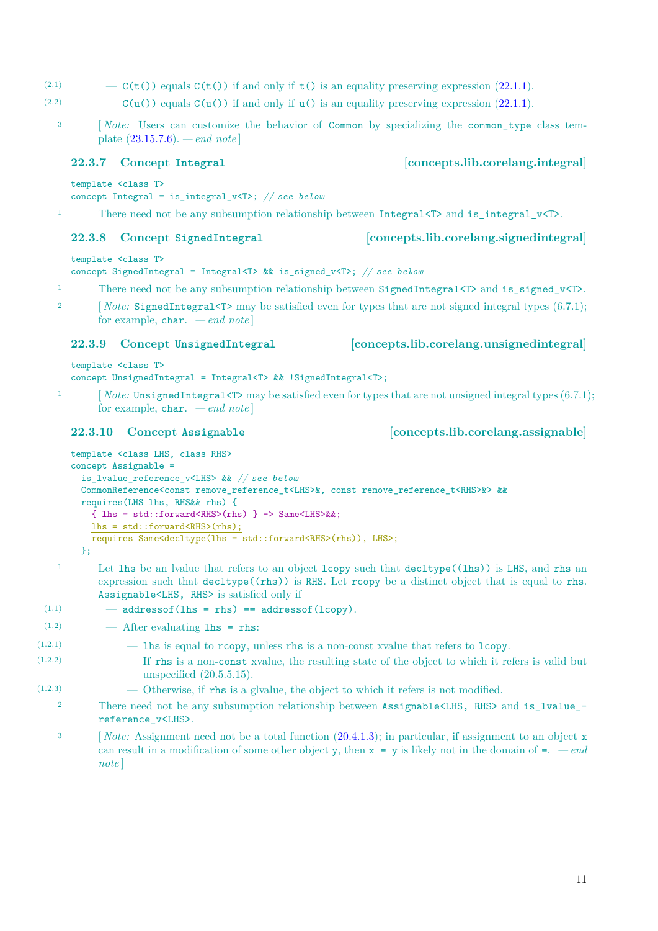- <span id="page-12-4"></span>(2.1)  $-\mathcal{C}(\mathbf{t}(\mathcal{C}))$  equals  $\mathcal{C}(\mathbf{t}(\mathcal{C}))$  if and only if  $\mathbf{t}(\mathcal{C})$  is an equality preserving expression [\(22.1.1\)](#page-7-3).
- (2.2)  $\qquad -C(u())$  equals  $C(u())$  if and only if  $u()$  is an equality preserving expression [\(22.1.1\)](#page-7-3).
	- <sup>3</sup> [ *Note:* Users can customize the behavior of Common by specializing the common\_type class template [\(23.15.7.6\)](#page-21-0). *— end note* ]

template <class T>

```
concept Integral = is_integral_v<T>; // see below
```
1 There need not be any subsumption relationship between Integral<T> and is integral  $v(T)$ .

# <span id="page-12-1"></span>**22.3.8 Concept SignedIntegral [concepts.lib.corelang.signedintegral]**

template <class T>

concept SignedIntegral = Integral<T> && is\_signed\_v<T>; *// see below*

- 1 There need not be any subsumption relationship between SignedIntegral $\langle T \rangle$  and is signed v $\langle T \rangle$ .
- <sup>2</sup> [ *Note:* SignedIntegral<T> may be satisfied even for types that are not signed integral types (6.7.1); for example, char. *— end note* ]

# <span id="page-12-2"></span>**22.3.9 Concept UnsignedIntegral [concepts.lib.corelang.unsignedintegral]**

template <class T>

concept UnsignedIntegral = Integral<T> && !SignedIntegral<T>;

1 [*Note:* UnsignedIntegral<T> may be satisfied even for types that are not unsigned integral types (6.7.1); for example, char. *— end note* ]

```
template <class LHS, class RHS>
concept Assignable =
  is_lvalue_reference_v<LHS> && // see below
  CommonReference<const remove_reference_t<LHS>&, const remove_reference_t<RHS>&> &&
 requires(LHS lhs, RHS&& rhs) {
    { lhs = std::forward<RHS>(rhs) } -> Same<LHS>&&;
    lhs = std::forward<RHS>(rhs);
    requires Same<decltype(lhs = std::forward<RHS>(rhs)), LHS>;
```
- };
- <sup>1</sup> Let lhs be an lvalue that refers to an object lcopy such that decltype((lhs)) is LHS, and rhs an expression such that decltype((rhs)) is RHS. Let rcopy be a distinct object that is equal to rhs. Assignable<LHS, RHS> is satisfied only if

```
(1.1) - addressof(lhs = rhs) == addressof(lcopy).
```
- $(1.2)$   $\qquad$   $\qquad$   $\qquad$  After evaluating **lhs** = rhs:
- $(1.2.1)$  lhs is equal to rcopy, unless rhs is a non-const xvalue that refers to lcopy.
- (1.2.2) If rhs is a non-const xvalue, the resulting state of the object to which it refers is valid but unspecified (20.5.5.15).
- (1.2.3) Otherwise, if rhs is a glvalue, the object to which it refers is not modified.
	- 2 There need not be any subsumption relationship between Assignable<LHS, RHS> and is\_lvalue\_reference\_v<LHS>.
		- <sup>3</sup> [*Note:* Assignment need not be a total function [\(20.4.1.3\)](#page-5-0); in particular, if assignment to an object x can result in a modification of some other object y, then  $x = y$  is likely not in the domain of  $=$ .  $\,-end$ *note* ]

# <span id="page-12-3"></span>**22.3.10 Concept Assignable [concepts.lib.corelang.assignable]**

# <span id="page-12-0"></span>**22.3.7 Concept Integral [concepts.lib.corelang.integral]**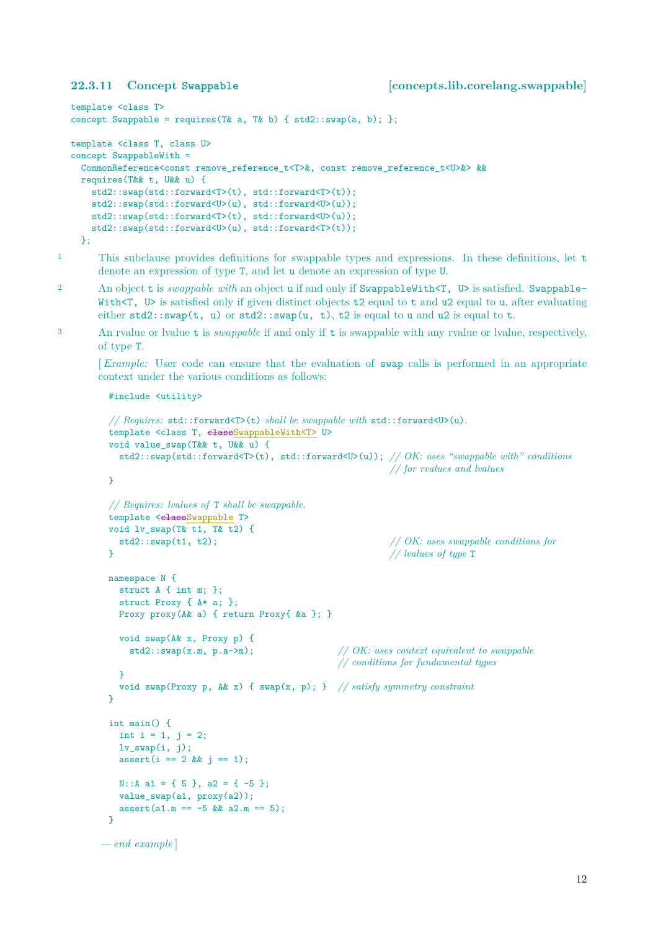```
template <class T>
concept Swappable = requires(T& a, T& b) { std2::swap(a, b); };
template <class T, class U>
concept SwappableWith =
 CommonReference<const remove_reference_t<T>&, const remove_reference_t<U>&> &&
 requires(T&& t, U&& u) {
    std2::swap(std::forward<T>(t), std::forward<T>(t));
    std2::swap(std::forward<U>(u), std::forward<U>(u));
    std2::swap(std::forward<T>(t), std::forward<U>(u));
    std2::swap(std::forward<U>(u), std::forward<T>(t));
 };
```
<sup>1</sup> This subclause provides definitions for swappable types and expressions. In these definitions, let t denote an expression of type T, and let u denote an expression of type U.

- 2 An object t is *swappable with* an object u if and only if SwappableWith<T, U> is satisfied. Swappable-With<T, U> is satisfied only if given distinct objects t2 equal to t and u2 equal to u, after evaluating either  $std2::swap(t, u)$  or  $std2::swap(u, t), t2$  is equal to u and u2 is equal to t.
- <sup>3</sup> An rvalue or lvalue t is *swappable* if and only if t is swappable with any rvalue or lvalue, respectively, of type T.

[*Example:* User code can ensure that the evaluation of swap calls is performed in an appropriate context under the various conditions as follows:

```
#include <utility>
```

```
// Requires: std::forward<T>(t) shall be swappable with std::forward<U>(u).
 template <class T, classSwappableWith<T> U>
 void value_swap(T&& t, U&& u) {
   std2::swap(std::forward<T>(t), std::forward<U>(u)); // OK: uses "swappable with" conditions
                                                      // for rvalues and lvalues
 }
 // Requires: lvalues of T shall be swappable.
 template <classSwappable T>
 void lv swap(T& t1, T& t2) {
   std2::swap(t1, t2); // OK: uses swappable conditions for
 } // lvalues of type T
 namespace N {
   struct A { int m; };
   struct Proxy { A* a; };
   Proxy proxy(A& a) { return Proxy{ &a }; }
   void swap(A& x, Proxy p) {
     std2::swap(x.m, p.a->m); // OK: uses context equivalent to swappable
                                            // conditions for fundamental types
   \overline{ }void swap(Proxy p, A& x) { swap(x, p); } // satisfy symmetry constraint
 \mathbf{I}int main() {
   int i = 1, j = 2;
  lv_swap(i, j);assert(i == 2 \& j == 1);N::A a1 = { 5 }, a2 = { -5 };
   value_swap(a1, proxy(a2));
   assert(a1.m == -5 \& a2.m == 5);\overline{ }— end example ]
```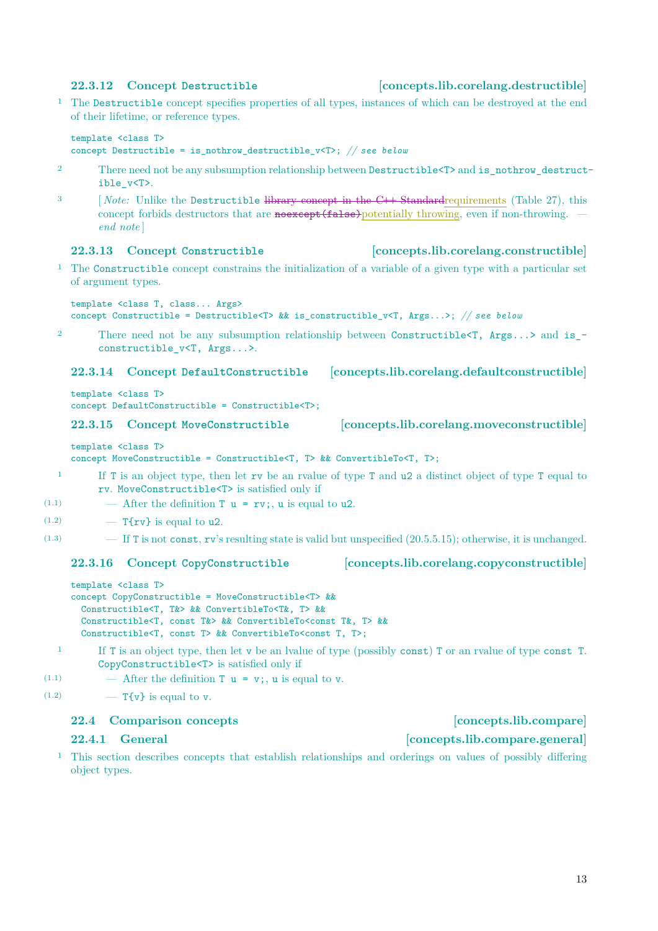# <span id="page-14-6"></span><span id="page-14-1"></span>**22.3.12 Concept Destructible [concepts.lib.corelang.destructible]**

<sup>1</sup> The Destructible concept specifies properties of all types, instances of which can be destroyed at the end of their lifetime, or reference types.

```
template <class T>
concept Destructible = is_nothrow_destructible_v<T>; // see below
```
- <sup>2</sup> There need not be any subsumption relationship between Destructible<T> and is\_nothrow\_destructible\_v<T>.
- <sup>3</sup> [ *Note:* Unlike the Destructible library concept in the C**++** Standardrequirements (Table 27), this concept forbids destructors that are **noexcept**(**false**) potentially throwing, even if non-throwing. *end note* ]

### <span id="page-14-2"></span>**22.3.13 Concept Constructible [concepts.lib.corelang.constructible]**

<sup>1</sup> The Constructible concept constrains the initialization of a variable of a given type with a particular set of argument types.

template <class T, class... Args>

concept Constructible = Destructible<T> && is\_constructible\_v<T, Args...>; *// see below*

<sup>2</sup> There need not be any subsumption relationship between Constructible<T, Args...> and is\_ constructible v<T, Args...>.

## <span id="page-14-3"></span>**22.3.14 Concept DefaultConstructible [concepts.lib.corelang.defaultconstructible]**

template <class T> concept DefaultConstructible = Constructible<T>;

### <span id="page-14-4"></span>**22.3.15 Concept MoveConstructible [concepts.lib.corelang.moveconstructible]**

template <class T>

concept MoveConstructible = Constructible<T, T> && ConvertibleTo<T, T>;

- <sup>1</sup> If T is an object type, then let rv be an rvalue of type T and u2 a distinct object of type T equal to rv. MoveConstructible<T> is satisfied only if
- (1.1)  $\qquad$  After the definition **T u** = **rv**; **u** is equal to **u2**.
- $(1.2)$  T{rv} is equal to u2.
- $(1.3)$  If T is not const, rv's resulting state is valid but unspecified  $(20.5.5.15)$ ; otherwise, it is unchanged.

### <span id="page-14-5"></span>**22.3.16 Concept CopyConstructible [concepts.lib.corelang.copyconstructible]**

```
template <class T>
concept CopyConstructible = MoveConstructible<T> &&
  Constructible<T, T&> && ConvertibleTo<T&, T> &&
  Constructible<T, const T&> && ConvertibleTo<const T&, T> &&
  Constructible<T, const T> && ConvertibleTo<const T, T>;
```
- <sup>1</sup> If T is an object type, then let v be an lvalue of type (possibly const) T or an rvalue of type const T. CopyConstructible<T> is satisfied only if
- (1.1)  $\qquad$  After the definition **T u** = **v**; **u** is equal to **v**.
- $(1.2)$  T{v} is equal to v.

# <span id="page-14-0"></span>**22.4 Comparison concepts [concepts.lib.compare]**

<sup>1</sup> This section describes concepts that establish relationships and orderings on values of possibly differing object types.

# **22.4.1 General [concepts.lib.compare.general]**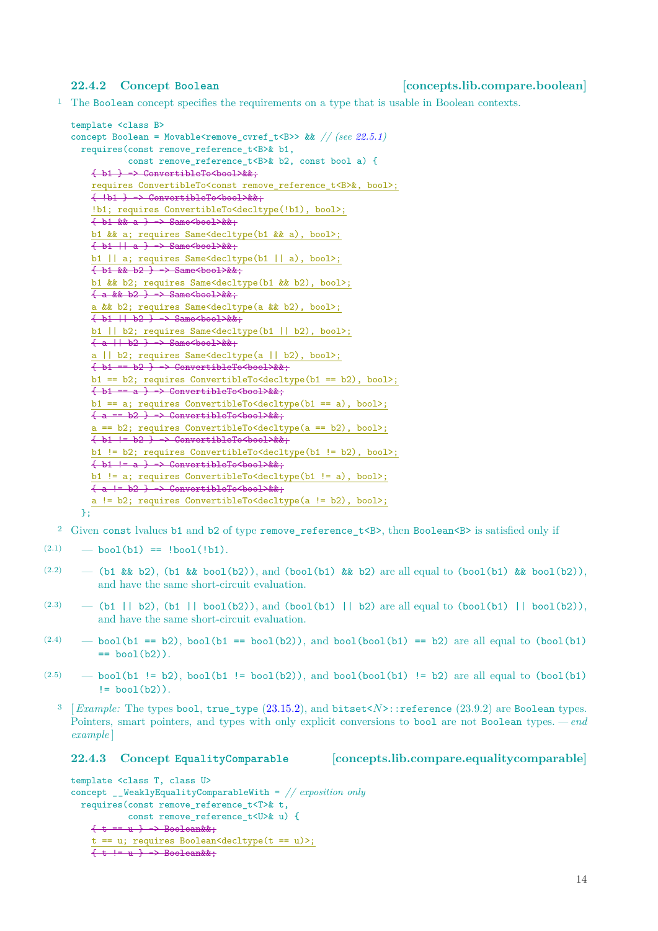### <span id="page-15-2"></span><span id="page-15-0"></span>**22.4.2 Concept Boolean [concepts.lib.compare.boolean]**

<sup>1</sup> The Boolean concept specifies the requirements on a type that is usable in Boolean contexts.

```
template <class B>
22.5.1)
 requires(const remove_reference_t<B>& b1,
            const remove_reference_t<B>& b2, const bool a) {
    { b1 } -> ConvertibleTo<bool>&&;
    requires ConvertibleTo<const remove_reference_t<B>&, bool>;
    { !b1 } -> ConvertibleTo<bool>&&;
    !b1; requires ConvertibleTo<decltype(!b1), bool>;
    \frac{1}{1 + b1 + k} a \rightarrow Same<bool>&&;
    b1 && a; requires Same<decltype(b1 && a), bool>;
    \{ b1 || a \} \rightarrow Same<br/>>bool>&&;
    b1 || a; requires Same<decltype(b1 || a), bool>;
    \{\frac{b1}{b2}, \frac{b2}{b2}\} -> Same<br/>bool>&&;
    b1 && b2; requires Same<decltype(b1 && b2), bool>;
    \{ a \& b2 \} \rightarrow Same<br/>e>
    a && b2; requires Same<decltype(a && b2), bool>;
    \{ b1 || b2 \} \rightarrow Same<br/>bool>&&;
    b1 || b2; requires Same<decltype(b1 || b2), bool>;
    \{ a + b2 \} -> Same<br/>bool>&&;
    a || b2; requires Same<decltype(a || b2), bool>;
    \{\ b1 == b2 \} \rightarrow ConvertibleTo <br/>bool>&&;
    b1 == b2; requires ConvertibleTo<decltype(b1 == b2), bool>;
    \{ b1 == a \} \rightarrow ConvertibleTo<br/>bool>&&;
    b1 == a; requires ConvertibleTo<decltype(b1 == a), bool>;
    \{a == b2\} \rightarrow ConvertibleTo<br/>bool>&&;
    a == b2; requires ConvertibleTo<decltype(a == b2), bool>;
    \{\ b1 := b2 \} \rightarrow ConvertibleTo<br/>bool>&&;
    b1 != b2; requires ConvertibleTo<decltype(b1 != b2), bool>;
    \{\ b1 := a\} \rightarrow ConvertibleTo<br/>bool>&&;
    b1 != a; requires ConvertibleTo<decltype(b1 != a), bool>;
    \overline{ {\begin{array}{l}  \  \, \text{4} \end{array} } } = b2 } -> ConvertibleTo<br/>>bool>&&;
    a != b2; requires ConvertibleTo<decltype(a != b2), bool>;
 \mathcal{L}
```
<sup>2</sup> Given const lvalues b1 and b2 of type remove reference t<B>, then Boolean<B> is satisfied only if

- $(2.1)$   $\longrightarrow$  bool(b1) == !bool(!b1).
- $(2.2)$  (b1 && b2), (b1 && bool(b2)), and (bool(b1) && b2) are all equal to (bool(b1) && bool(b2)), and have the same short-circuit evaluation.
- $(2.3)$  (b1 || b2), (b1 || bool(b2)), and (bool(b1) || b2) are all equal to (bool(b1) || bool(b2)), and have the same short-circuit evaluation.
- $(2.4)$  bool(b1 == b2), bool(b1 == bool(b2)), and bool(bool(b1) == b2) are all equal to (bool(b1)  $=$  bool $(b2)$ ).
- $(2.5)$  bool(b1 != b2), bool(b1 != bool(b2)), and bool(bool(b1) != b2) are all equal to (bool(b1)  $!=$  bool $(b2)$ ).
	- <sup>3</sup> [*Example:* The types bool, true\_type [\(23.15.2\)](#page-20-2), and bitset<*N*>::reference (23.9.2) are Boolean types. Pointers, smart pointers, and types with only explicit conversions to bool are not Boolean types. *— end example* ]

<span id="page-15-1"></span>**22.4.3 Concept EqualityComparable [concepts.lib.compare.equalitycomparable]**

```
template <class T, class U>
concept __WeaklyEqualityComparableWith = // exposition only
  requires(const remove_reference_t<T>& t,
            const remove_reference_t<U>& u) {
    \{t == u\} \rightarrow Boolean&&;
    t == u; requires Boolean<decltype(t == u)>;
    \{ + \leftarrow \} = u \} \rightarrow \text{Boolean}
```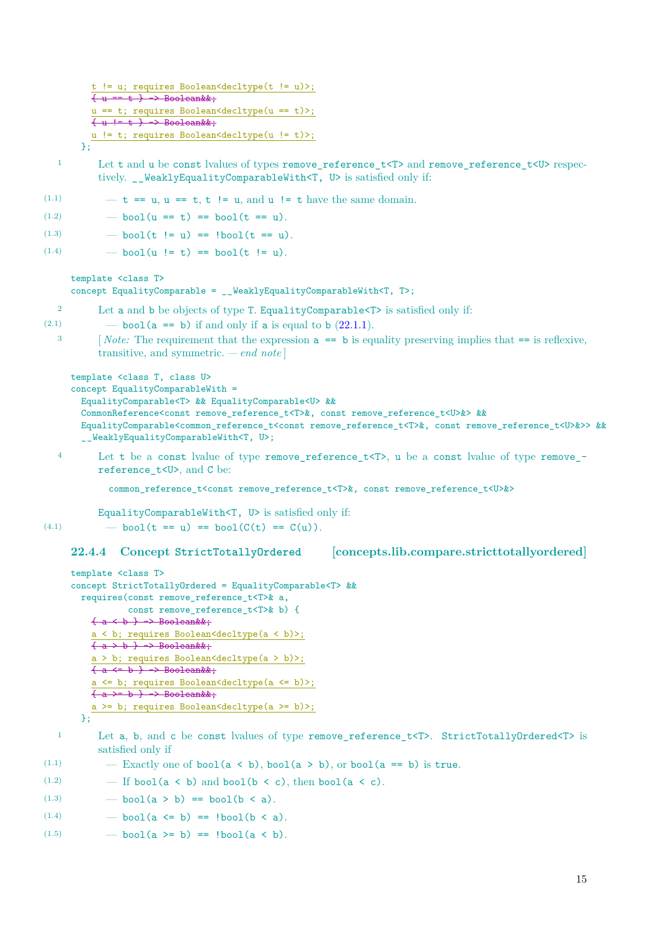```
!= u; requires Boolean<decltype(t != u)>;
          \{u == t\} \rightarrow Boolean&&;
          u == t; requires Boolean <decltype (u == t) >;
          \{u := t\} \rightarrow Boolean&&;
         u != t; requires Boolean<decltype(u != t)>;
       };
  1 Let t and u be const lvalues of types remove reference t < T and remove reference t < U respec-
           tively. __WeaklyEqualityComparableWith<T, U> is satisfied only if:
(1.1) \mathbf{t} = \mathbf{u}, \mathbf{u} = \mathbf{t}, \mathbf{t} \in \mathbf{u}, \text{ and } \mathbf{u} = \mathbf{t} \text{ have the same domain.}(1.2) \qquad - \text{bool}(u == t) == \text{bool}(t == u).(1.3) \qquad - \text{bool}(t := u) == \text{lbool}(t == u).(1.4) \qquad - \text{bool}(u := t) == \text{bool}(t != u).template <class T>
     concept EqualityComparable = __WeaklyEqualityComparableWith<T, T>;
  2 Let a and b be objects of type T. EqualityComparable<T> is satisfied only if:
(2.1) \qquad - \text{bool}(a == b) if and only if a is equal to b (22.1.1).
  <sup>3</sup> [Note: The requirement that the expression a == b is equality preserving implies that == is reflexive,
           transitive, and symmetric. — end note ]
     template <class T, class U>
     concept EqualityComparableWith =
       EqualityComparable<T> && EqualityComparable<U> &&
        CommonReference<const remove reference t<T>&, const remove reference t<U>&> &&
       EqualityComparable<common_reference_t<const remove_reference_t<T>&, const remove_reference_t<U>&>> &&
        __WeaklyEqualityComparableWith<T, U>;
  4 Let t be a const lvalue of type remove_reference_t<T>, u be a const lvalue of type remove_-
           reference_t<U>, and C be:
             common_reference_t<const remove_reference_t<T>&, const remove_reference_t<U>&>
           EqualityComparableWith<T, U> is satisfied only if:
(4.1) \qquad - \text{bool}(t == u) == \text{bool}(C(t) == C(u)).22.4.4 Concept StrictTotallyOrdered [concepts.lib.compare.stricttotallyordered]
     template <class T>
     concept StrictTotallyOrdered = EqualityComparable<T> &&
       requires(const remove_reference_t<T>& a,
                 const remove_reference_t<T>& b) {
         \{a \leftarrow b\} \rightarrow Boolean&&;
          a < b; requires Boolean<decltype(a < b)>;
         \overline{\{a > b\}} \rightarrow \text{Boolean\&\&;}a > b; requires Boolean<decltype(a > b)>;
          \{a \leftarrow b\} \rightarrow Booleankk;a <= b; requires Boolean<decltype(a <= b)>;
         \{a \rightleftharpoons b \} \rightarrow Boolean&&;
         a >= b; requires Boolean<decltype(a >= b)>;
       };
  1 Let a, b, and c be const lvalues of type remove reference t<T>. StrictTotallyOrdered<T> is
           satisfied only if
(1.1) - Exactly one of bool(a < b), bool(a > b), or bool(a == b) is true.
(1.2) - If bool(a < b) and bool(b < c), then bool(a < c).
(1.3) \qquad - \text{bool}(a > b) == \text{bool}(b < a).
```
- <span id="page-16-0"></span>(1.4)  $\qquad - \text{bool}(a \le b) = \text{lbool}(b \le a).$
- (1.5)  $\qquad \text{bool}(a \ge b) = \text{lbool}(a \le b).$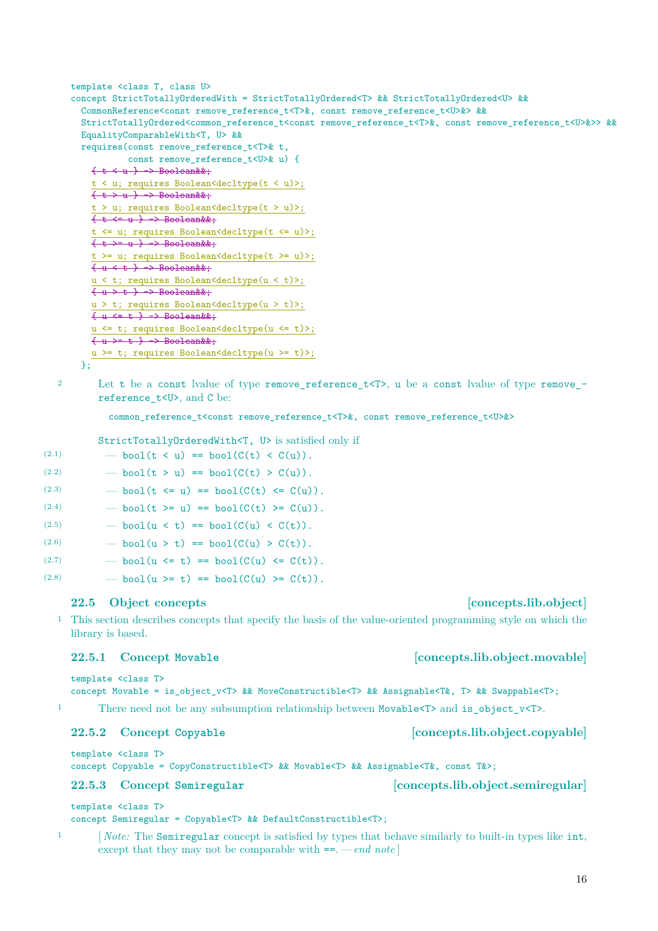```
template <class T, class U>
concept StrictTotallyOrderedWith = StrictTotallyOrdered<T> && StrictTotallyOrdered<U> &&
  CommonReference<const remove_reference_t<T>&, const remove_reference_t<U>&> &&
  StrictTotallyOrdered<common_reference_t<const remove_reference_t<T>&, const remove_reference_t<U>&>> &&
 EqualityComparableWith<T, U> &&
 requires(const remove_reference_t<T>& t,
            const remove_reference_t<U>& u) {
    \{t \leftrightarrow u\} \rightarrow Boolean&&;
    t < u; requires Boolean<decltype(t < u)>;
    \{t > u\} \rightarrow Boolean&&;
    t > u; requires Boolean<decltype(t > u)>;
    \{t \leftarrow -u \} \rightarrow Boolean&&;
    t <= u; requires Boolean<decltype(t <= u)>;
    \{t \rightarrow = u \} \rightarrow Boolean&&;
    t >= u; requires Boolean<decltype(t >= u)>;
    \{u \leq t\} \rightarrow Boolean&&;
    u < t; requires Boolean<decltype(u < t)>;
    \{u \gt t \} \rightarrow \text{Boolean}u > t; requires Boolean<decltype(u > t)>;
    \{u \leftarrow t\} \rightarrow Boolean&&;
    u <= t; requires Boolean<decltype(u <= t)>;
    \{u \} + \} -> Boolean&&;
    u >= t; requires Boolean<decltype(u >= t)>;
```
};

<sup>2</sup> Let t be a const lvalue of type remove reference t<T>, u be a const lvalue of type remove reference  $t < U$ , and C be:

```
common_reference_t<const remove_reference_t<T>&, const remove_reference_t<U>&>
```
StrictTotallyOrderedWith<T, U> is satisfied only if

| (2.1) | - bool(t < u) == bool( $C(t)$ < $C(u)$ ).     |
|-------|-----------------------------------------------|
| (2.2) | - bool(t > u) == bool( $C(t) > C(u)$ ).       |
| (2.3) | - bool(t <= u) == bool( $C(t)$ <= $C(u)$ ).   |
| (2.4) | - bool(t >= u) == bool( $C(t)$ >= $C(u)$ ).   |
| (2.5) | - bool( $u < t$ ) == bool( $C(u) < C(t)$ ).   |
| (2.6) | - bool(u > t) == bool( $C(u) > C(t)$ ).       |
| (2.7) | - bool(u $\leq$ t) == bool(C(u) $\leq$ C(t)). |
| (2.8) | - bool(u >= t) == bool( $C(u)$ >= $C(t)$ ).   |

## <span id="page-17-0"></span>**22.5 Object concepts [concepts.lib.object]**

<sup>1</sup> This section describes concepts that specify the basis of the value-oriented programming style on which the library is based.

template <class T> concept Movable = is\_object\_v<T> && MoveConstructible<T> && Assignable<T&, T> && Swappable<T>;

<sup>1</sup> There need not be any subsumption relationship between Movable  $\langle T \rangle$  and is object  $v \langle T \rangle$ .

### <span id="page-17-3"></span>**22.5.2 Concept Copyable [concepts.lib.object.copyable]**

template <class T> concept Copyable = CopyConstructible<T> && Movable<T> && Assignable<T&, const T&>;

### <span id="page-17-1"></span>**22.5.3 Concept Semiregular [concepts.lib.object.semiregular]**

template <class T>

### concept Semiregular = Copyable<T> && DefaultConstructible<T>;

<sup>1</sup> [*Note:* The Semiregular concept is satisfied by types that behave similarly to built-in types like int, except that they may not be comparable with ==. *— end note* ]

# <span id="page-17-2"></span>**22.5.1 Concept Movable [concepts.lib.object.movable]**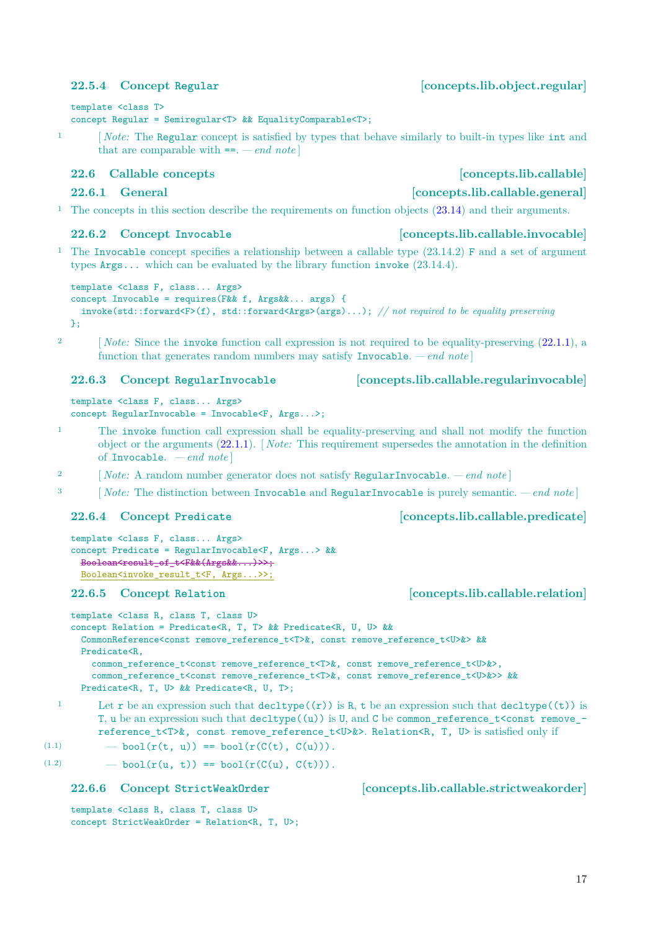# <span id="page-18-7"></span><span id="page-18-2"></span>**22.5.4 Concept Regular [concepts.lib.object.regular]**

# template <class T>

# concept Regular = Semiregular<T> && EqualityComparable<T>;

<sup>1</sup> [*Note:* The Regular concept is satisfied by types that behave similarly to built-in types like int and that are comparable with ==. *— end note* ]

# <span id="page-18-0"></span>**22.6 Callable concepts [concepts.lib.callable]**

<sup>1</sup> The concepts in this section describe the requirements on function objects [\(23.14\)](#page-20-0) and their arguments.

# <span id="page-18-1"></span>**22.6.2 Concept Invocable [concepts.lib.callable.invocable]**

<sup>1</sup> The Invocable concept specifies a relationship between a callable type  $(23.14.2)$  F and a set of argument types Args... which can be evaluated by the library function invoke (23.14.4).

```
template <class F, class... Args>
concept Invocable = requires(F&& f, Args&&... args) {
 invoke(std::forward<F>(f), std::forward<Args>(args)...); // not required to be equality preserving
\cdot
```
<sup>2</sup> [ *Note:* Since the **invoke** function call expression is not required to be equality-preserving [\(22.1.1\)](#page-7-3), a function that generates random numbers may satisfy Invocable. *— end note* ]

```
template <class F, class... Args>
concept RegularInvocable = Invocable<F, Args...>;
```
- <sup>1</sup> The invoke function call expression shall be equality-preserving and shall not modify the function object or the arguments [\(22.1.1\)](#page-7-3). [ *Note:* This requirement supersedes the annotation in the definition of Invocable. *— end note* ]
- <sup>2</sup> [ *Note:* A random number generator does not satisfy RegularInvocable.  *end note* ]
- <sup>3</sup> [ *Note:* The distinction between Invocable and RegularInvocable is purely semantic.  *end note* ]

# <span id="page-18-4"></span>**22.6.4 Concept Predicate [concepts.lib.callable.predicate]**

```
template <class F, class... Args>
concept Predicate = RegularInvocable<F, Args...> &&
 Boolean<result_of_t<F&&(Args&&...)>>;
 Boolean<invoke_result_t<F, Args...>>;
```
# <span id="page-18-5"></span>**22.6.5 Concept Relation [concepts.lib.callable.relation]**

```
template <class R, class T, class U>
concept Relation = Predicate<R, T, T> && Predicate<R, U, U> &&
 CommonReference<const remove_reference_t<T>&, const remove_reference_t<U>&> &&
 Predicate<R,
   common_reference_t<const remove_reference_t<T>&, const remove_reference_t<U>&>,
    common_reference_t<const remove_reference_t<T>&, const remove_reference_t<U>&>> &&
 Predicate<R, T, U> && Predicate<R, U, T>;
```
1 Let r be an expression such that decltype $((r))$  is R, t be an expression such that decltype $((t))$  is T, u be an expression such that  $\text{dedtype}((u))$  is U, and C be common reference t<const remove\_reference\_t<T>&, const remove\_reference\_t<U>&>. Relation<R, T, U> is satisfied only if

$$
(1.1) \qquad \qquad - \text{bool}(r(t, u)) = \text{bool}(r(C(t), C(u))).
$$

(1.2)  $-$  bool( $r(u, t)$ ) == bool( $r(C(u), C(t))$ ).

<span id="page-18-6"></span>**22.6.6 Concept StrictWeakOrder [concepts.lib.callable.strictweakorder]**

template <class R, class T, class U> concept StrictWeakOrder = Relation<R, T, U>;

# <span id="page-18-3"></span>**22.6.3 Concept RegularInvocable [concepts.lib.callable.regularinvocable]**

# **22.6.1 General Concepts.lib.callable.general**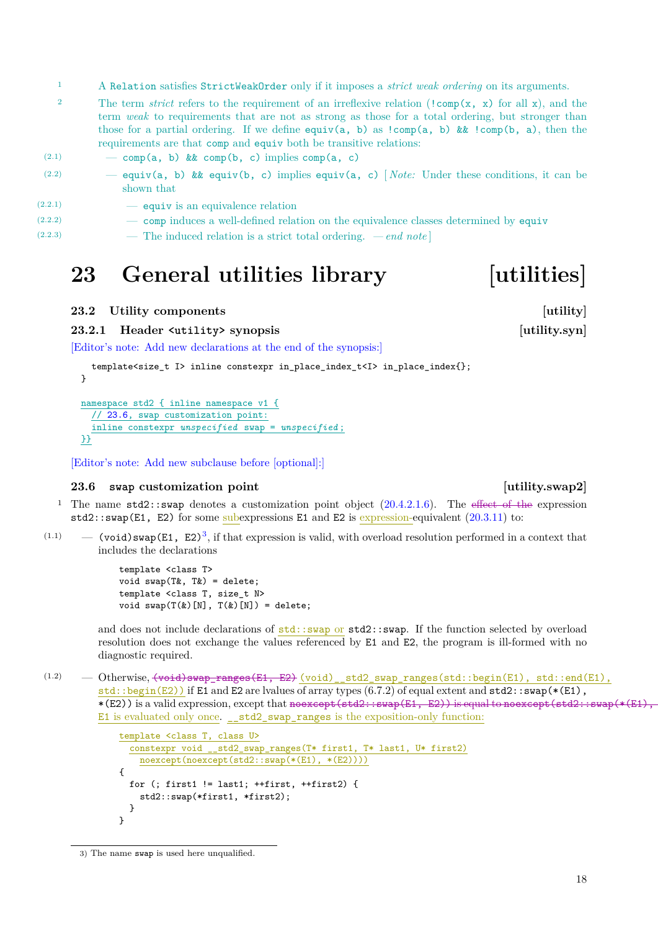<span id="page-19-4"></span><sup>1</sup> A Relation satisfies StrictWeakOrder only if it imposes a *strict weak ordering* on its arguments.

<sup>2</sup> The term *strict* refers to the requirement of an irreflexive relation (!comp(x, x) for all x), and the term *weak* to requirements that are not as strong as those for a total ordering, but stronger than those for a partial ordering. If we define equiv(a, b) as  $!comp(a, b)$  &&  $!comp(b, a)$ , then the requirements are that comp and equiv both be transitive relations:

| (2.1)   | - comp(a, b) & $\&$ comp(b, c) implies comp(a, c)                                                      |
|---------|--------------------------------------------------------------------------------------------------------|
| (2.2)   | - equiv(a, b) & equiv(b, c) implies equiv(a, c) [Note: Under these conditions, it can be<br>shown that |
| (2.2.1) | — equiv is an equivalence relation                                                                     |
| (2.2.2) | - comp induces a well-defined relation on the equivalence classes determined by equiv                  |
| (2.2.3) | — The induced relation is a strict total ordering. $-e n d \text{ note}$                               |

# <span id="page-19-0"></span>**23 General utilities library [utilities]**

### <span id="page-19-1"></span>**23.2** Utility components [utility]

**23.2.1 Header <utility> synopsis [utility.syn]**

[Editor's note: Add new declarations at the end of the synopsis:]

```
template<size_t I> inline constexpr in_place_index_t<I> in_place_index{};
}
namespace std2 { inline namespace v1 {
  // 23.6, swap customization point:
  inline constexpr unspecified swap = unspecified ;
}}
```
[Editor's note: Add new subclause before [optional]:]

### <span id="page-19-2"></span>**23.6 swap** customization point [utility.swap2]

- <sup>1</sup> The name  $std2$ ::swap denotes a customization point object  $(20.4.2.1.6)$ . The effect of the expression std2::swap(E1, E2) for some subexpressions E1 and E2 is expression-equivalent  $(20.3.11)$  to:
- $(1.1)$  (void) swap(E1, E2)<sup>[3](#page-19-3)</sup>, if that expression is valid, with overload resolution performed in a context that includes the declarations

template <class T> void swap(T&, T&) = delete; template <class T, size\_t N> void  $swap(T(k)[N], T(k)[N]) =$  delete;

and does not include declarations of  $std::swap$  or  $std::swap$ . If the function selected by overload resolution does not exchange the values referenced by E1 and E2, the program is ill-formed with no diagnostic required.

 $(1.2)$  — Otherwise,  $(void)$ swap\_ranges $(E1, E2)$  (void) \_std2\_swap\_ranges(std::begin(E1), std::end(E1), std::begin(E2)) if E1 and E2 are lvalues of array types  $(6.7.2)$  of equal extent and  $std2::swap(*(E1)$ , \*(E2)) is a valid expression, except that noexcept (std2::swap(E1, E2)) is equal to noexcept (std2::swap(\*(E1), E1 is evaluated only once. \_\_std2\_swap\_ranges is the exposition-only function:

```
template <class T, class U>
  constexpr void __std2_swap_ranges(T* first1, T* last1, U* first2)
    noexcept(noexcept(std2::swap(*(E1), *(E2))))
{
  for (; first1 != last1; ++first, ++first2) {
    std2::swap(*first1, *first2);
 }
}
```
# 18

<span id="page-19-3"></span><sup>3)</sup> The name swap is used here unqualified.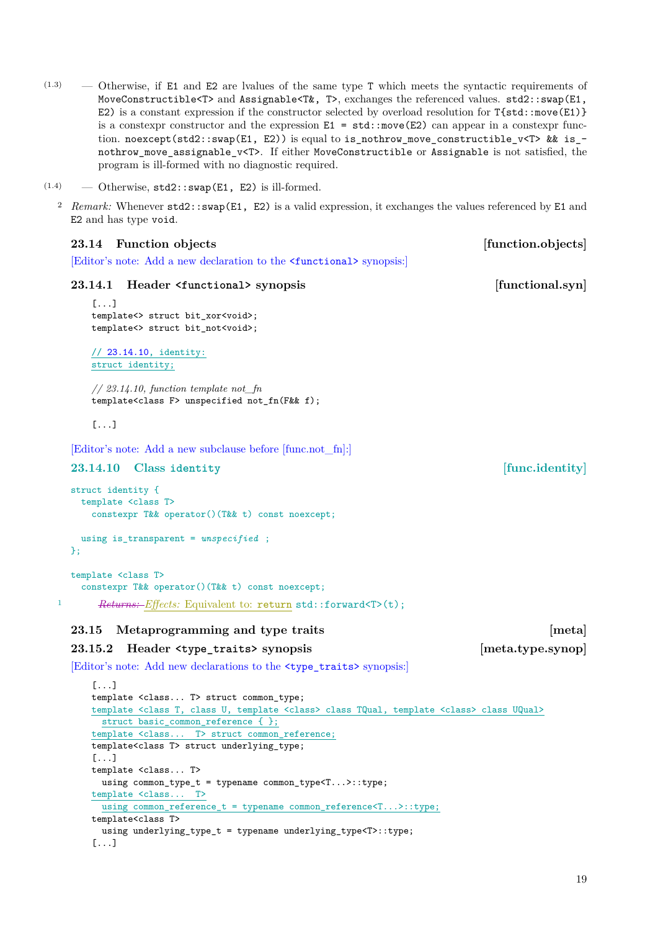- <span id="page-20-4"></span>(1.3) — Otherwise, if E1 and E2 are lvalues of the same type T which meets the syntactic requirements of MoveConstructible<T> and Assignable<T&, T>, exchanges the referenced values. std2::swap(E1, E2) is a constant expression if the constructor selected by overload resolution for T{std::move(E1)} is a constexpr constructor and the expression  $E1 = std:move(E2)$  can appear in a constexpr function. noexcept(std2::swap(E1, E2)) is equal to is\_nothrow\_move\_constructible\_v<T> && is\_nothrow\_move\_assignable\_v<T>. If either MoveConstructible or Assignable is not satisfied, the program is ill-formed with no diagnostic required.
- $(1.4)$  Otherwise,  $std2::swap(E1, E2)$  is ill-formed.

<span id="page-20-2"></span><span id="page-20-1"></span>[...]

<sup>2</sup> *Remark:* Whenever std2::swap(E1, E2) is a valid expression, it exchanges the values referenced by E1 and E2 and has type void.

<span id="page-20-3"></span><span id="page-20-0"></span>

| 23.14 Function objects                                                                                                    | [function.objects] |
|---------------------------------------------------------------------------------------------------------------------------|--------------------|
| Editor's note: Add a new declaration to the <b>standards</b> synopsis:                                                    |                    |
| 23.14.1<br>Header <functional> synopsis</functional>                                                                      | [functional.syn]   |
| $[\ldots]$<br>template<> struct bit_xor <void>;<br/>template&lt;&gt; struct bit_not<void>;</void></void>                  |                    |
| $\frac{1}{23.14.10}$ , identity:<br>struct identity;                                                                      |                    |
| $\frac{1}{23.14.10}$ , function template not fn<br>template <class f=""> unspecified not_fn(F&amp;&amp; f);</class>       |                    |
| $[\ldots]$                                                                                                                |                    |
| [Editor's note: Add a new subclause before [func.not_fn]:                                                                 |                    |
| 23.14.10<br>Class identity                                                                                                | [func.identity]    |
| struct identity {<br>template <class t=""><br/>constexpr T&amp;&amp; operator()(T&amp;&amp; t) const noexcept;</class>    |                    |
| using is_transparent = $unspecified$ ;<br>$\}$ ;                                                                          |                    |
| template <class t=""></class>                                                                                             |                    |
| constexpr T&& operator()(T&& t) const noexcept;                                                                           |                    |
| 1<br><i>Returns: Effects:</i> Equivalent to: return std::forward <t>(t);</t>                                              |                    |
| 23.15<br>Metaprogramming and type traits                                                                                  | [meta]             |
| 23.15.2<br>Header <type_traits> synopsis</type_traits>                                                                    | [meta.type.synop]  |
| [Editor's note: Add new declarations to the <type_traits> synopsis:]</type_traits>                                        |                    |
| $[\ldots]$                                                                                                                |                    |
| template <class t=""> struct common_type;</class>                                                                         |                    |
| template <class <class="" class="" t,="" template="" u,=""> class TQual, template <class> class UQual&gt;</class></class> |                    |
| struct basic_common_reference { };                                                                                        |                    |
| template <class t=""> struct common_reference;</class>                                                                    |                    |
| template <class t=""> struct underlying_type;<br/><math>[ \ldots ]</math></class>                                         |                    |
| template <class t=""></class>                                                                                             |                    |
| using $common_type_t = typename common_type < T >::type;$                                                                 |                    |
| template <class t=""></class>                                                                                             |                    |
| using common_reference_t = typename common_reference <t>::type;</t>                                                       |                    |
| template <class t=""></class>                                                                                             |                    |
| using underlying_type_t = typename underlying_type <t>::type;</t>                                                         |                    |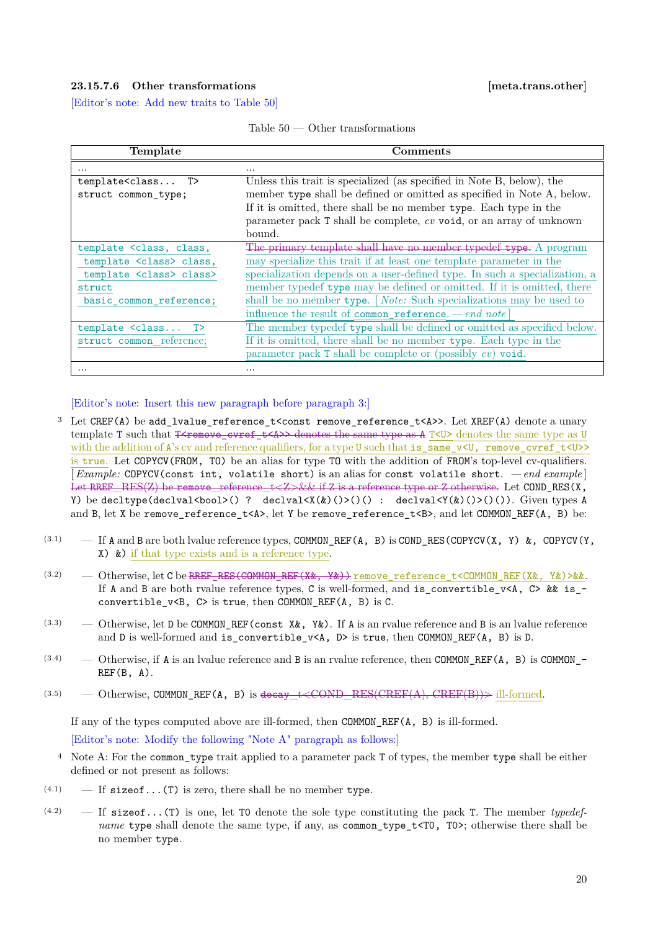### <span id="page-21-2"></span><span id="page-21-0"></span>**23.15.7.6 Other transformations [meta.trans.other]**

[Editor's note: Add new traits to Table [50\]](#page-21-1)

| Table 50 | Other transformations |
|----------|-----------------------|
|----------|-----------------------|

<span id="page-21-1"></span>

| Template                                                                                                              | Comments                                                                    |
|-----------------------------------------------------------------------------------------------------------------------|-----------------------------------------------------------------------------|
| $\cdots$                                                                                                              | $\cdots$                                                                    |
| template <class t=""></class>                                                                                         | Unless this trait is specialized (as specified in Note B, below), the       |
| struct common type;                                                                                                   | member type shall be defined or omitted as specified in Note A, below.      |
|                                                                                                                       | If it is omitted, there shall be no member type. Each type in the           |
|                                                                                                                       | parameter pack $T$ shall be complete, $cv$ void, or an array of unknown     |
|                                                                                                                       | bound.                                                                      |
| template <class, class,<="" th=""><th>The primary template shall have no member typedef type. A program</th></class,> | The primary template shall have no member typedef type. A program           |
| template <class> class,</class>                                                                                       | may specialize this trait if at least one template parameter in the         |
| template <class> class&gt;</class>                                                                                    | specialization depends on a user-defined type. In such a specialization, a  |
| struct                                                                                                                | member typedef type may be defined or omitted. If it is omitted, there      |
| basic_common_reference;                                                                                               | shall be no member type. [ <i>Note:</i> Such specializations may be used to |
|                                                                                                                       | influence the result of common reference. $-e n d$ note                     |
| template <class t=""></class>                                                                                         | The member typedef type shall be defined or omitted as specified below.     |
| struct common reference;                                                                                              | If it is omitted, there shall be no member type. Each type in the           |
|                                                                                                                       | parameter pack $\bar{r}$ shall be complete or (possibly $cv$ ) void.        |
| $\cdots$                                                                                                              | $\cdots$                                                                    |

[Editor's note: Insert this new paragraph before paragraph 3:]

- <sup>3</sup> Let CREF(A) be add\_lvalue\_reference\_t<const remove\_reference\_t<A>>. Let XREF(A) denote a unary template T such that  $I<sub>fermove</sub>$  cvref  $t<sub>4</sub>>$  denotes the same type as  $A T<sub>5</sub>$  denotes the same type as U with the addition of A's cv and reference qualifiers, for a type U such that is\_same\_v<U, remove\_cvref\_t<U>> is true. Let COPYCV(FROM, TO) be an alias for type TO with the addition of FROM's top-level cv-qualifiers. [*Example:* COPYCV(const int, volatile short) is an alias for const volatile short. *— end example* ] Let RREF\_RES(Z) be remove reference  $t \leq Z \leq k \leq i$  if Z is a reference type or Z otherwise. Let COND RES(X, Y) be decltype(declval<br/>kbool>() ? declval<X(&)()>()() : declval<Y(&)()>()()). Given types A and B, let X be remove\_reference\_t<A>, let Y be remove\_reference\_t<B>, and let COMMON\_REF(A, B) be:
- (3.1)  $-$  If A and B are both lvalue reference types, COMMON REF(A, B) is COND RES(COPYCV(X, Y) &, COPYCV(Y, X) &) if that type exists and is a reference type.
- (3.2) Otherwise, let C be RREF\_RES(COMMON\_REF(X&, Y&)) remove\_reference\_t<COMMON\_REF(X&, Y&)>&&. If A and B are both rvalue reference types, C is well-formed, and is convertible v<A, C> && is convertible  $v\leq B$ ,  $C$  is true, then COMMON REF(A, B) is C.
- (3.3)  $-$  Otherwise, let D be COMMON REF(const X&, Y&). If A is an rvalue reference and B is an lvalue reference and D is well-formed and is\_convertible\_v<A, D> is true, then COMMON\_REF(A, B) is D.
- (3.4) Otherwise, if A is an lvalue reference and B is an rvalue reference, then COMMON\_REF(A, B) is COMMON\_-  $REF(B, A)$ .
- (3.5) Otherwise, COMMON\_REF(A, B) is decay  $t \leq \text{COMP-RES}(\text{CREF}(A), \text{CREF}(B))$  ill-formed.

If any of the types computed above are ill-formed, then COMMON\_REF(A, B) is ill-formed. [Editor's note: Modify the following "Note A" paragraph as follows:]

- <sup>4</sup> Note A: For the common type trait applied to a parameter pack T of types, the member type shall be either defined or not present as follows:
- $(4.1)$  If sizeof...(T) is zero, there shall be no member type.
- (4.2) If sizeof...(T) is one, let T0 denote the sole type constituting the pack T. The member *typedefname* type shall denote the same type, if any, as common\_type\_t<T0, T0>; otherwise there shall be no member type.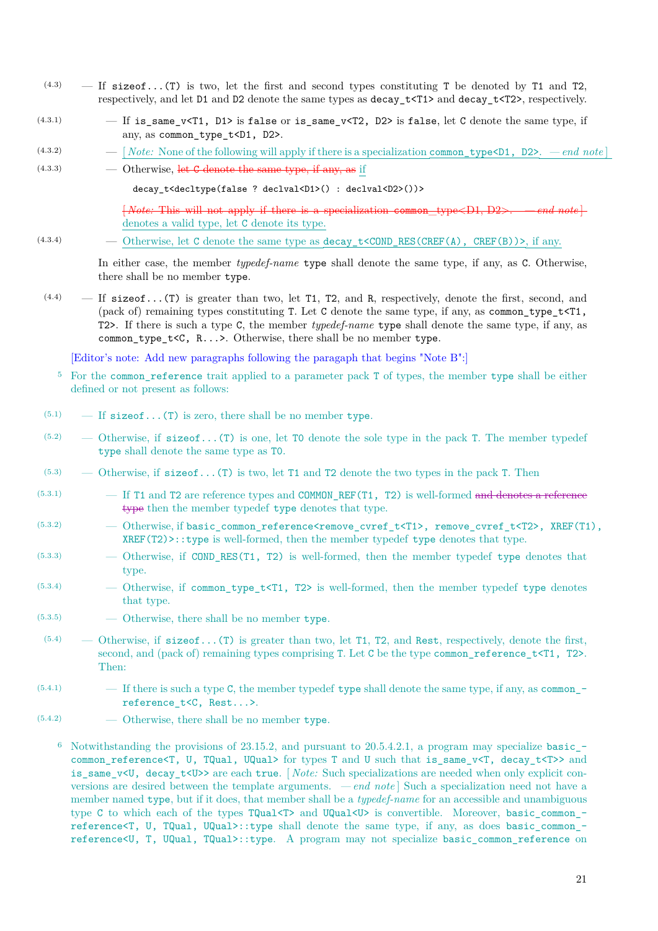- $(4.3)$  If sizeof...(T) is two, let the first and second types constituting T be denoted by T1 and T2, respectively, and let D1 and D2 denote the same types as decay\_t<T1> and decay\_t<T2>, respectively.
- $(4.3.1)$  If is same v<T1, D1> is false or is same v<T2, D2> is false, let C denote the same type, if any, as common\_type\_t<D1, D2>.
- (4.3.2)  $-$  [*Note:* None of the following will apply if there is a specialization common type <D1, D2>.  *end note* ]
- $(4.3.3)$   $\qquad \qquad$  Otherwise, let C denote the same type, if any, as if

decay\_t<decltype(false ? declval<D1>() : declval<D2>())>

 $\{Note: This will not apply if there is a specialization common type  $\langle D1, D2 \rangle$ .$ denotes a valid type, let C denote its type.

(4.3.4) — Otherwise, let C denote the same type as decay\_t<COND\_RES(CREF(A), CREF(B))>, if any.

In either case, the member *typedef-name* type shall denote the same type, if any, as C. Otherwise, there shall be no member type.

 $(4.4)$  – If size of...(T) is greater than two, let T1, T2, and R, respectively, denote the first, second, and (pack of) remaining types constituting T. Let C denote the same type, if any, as common\_type\_t<T1, T2>. If there is such a type C, the member *typedef-name* type shall denote the same type, if any, as common type  $t < C$ , R...>. Otherwise, there shall be no member type.

[Editor's note: Add new paragraphs following the paragaph that begins "Note B":]

- <sup>5</sup> For the common\_reference trait applied to a parameter pack T of types, the member type shall be either defined or not present as follows:
- $(5.1)$  If sizeof...(T) is zero, there shall be no member type.
- $(5.2)$  Otherwise, if size of...(T) is one, let T0 denote the sole type in the pack T. The member typedef type shall denote the same type as T0.
- $(5.3)$  Otherwise, if size of...(T) is two, let T1 and T2 denote the two types in the pack T. Then
- (5.3.1) If T1 and T2 are reference types and COMMON\_REF(T1, T2) is well-formed and denotes a reference type then the member typedef type denotes that type.
- $(5.3.2)$  Otherwise, if basic\_common\_reference<remove\_cvref\_t<T1>, remove\_cvref\_t<T2>, XREF(T1),  $XREF(T2)>$ : type is well-formed, then the member typedef type denotes that type.
- (5.3.3) Otherwise, if COND\_RES(T1, T2) is well-formed, then the member typedef type denotes that type.
- $(5.3.4)$  Otherwise, if common type t<T1, T2> is well-formed, then the member typedef type denotes that type.
- (5.3.5) Otherwise, there shall be no member type.
- $(5.4)$  Otherwise, if sizeof...(T) is greater than two, let T1, T2, and Rest, respectively, denote the first, second, and (pack of) remaining types comprising T. Let C be the type common\_reference\_t<T1, T2>. Then:
- $(5.4.1)$  If there is such a type C, the member typedef type shall denote the same type, if any, as commonreference\_t<C, Rest...>.
- (5.4.2) Otherwise, there shall be no member type.
	- <sup>6</sup> Notwithstanding the provisions of 23.15.2, and pursuant to 20.5.4.2.1, a program may specialize basic\_ common reference<T, U, TQual, UQual> for types T and U such that is same v<T, decay  $t$ <T>> and is same v<U, decay t<U> are each true. [*Note:* Such specializations are needed when only explicit conversions are desired between the template arguments. *— end note* ] Such a specialization need not have a member named type, but if it does, that member shall be a *typedef-name* for an accessible and unambiguous type C to which each of the types TQual<T> and UQual<U> is convertible. Moreover, basic common reference<T, U, TQual, UQual>::type shall denote the same type, if any, as does basic\_common\_ reference<U, T, UQual, TQual>::type. A program may not specialize basic\_common\_reference on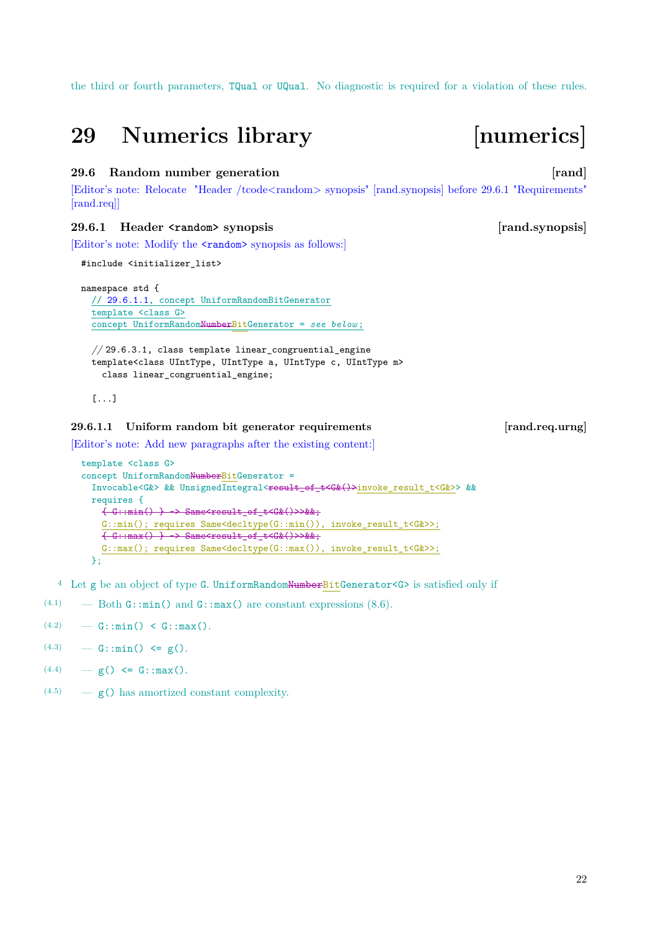<span id="page-23-3"></span>the third or fourth parameters, TQual or UQual. No diagnostic is required for a violation of these rules.

# <span id="page-23-0"></span>**29 Numerics library [numerics]**

## <span id="page-23-1"></span>**29.6 Random number generation [78]** [rand]

[Editor's note: Relocate "Header /tcode<random> synopsis" [rand.synopsis] before 29.6.1 "Requirements" [rand.req]]

## **29.6.1 Header <random> synopsis [rand.synopsis]**

[Editor's note: Modify the **standom** synopsis as follows:]

```
#include <initializer_list>
```
namespace std { // [29.6.1.1,](#page-23-2) concept UniformRandomBitGenerator template <class G> concept UniformRandomNumberBitGenerator = *see below* ;

*//* 29.6.3.1, class template linear\_congruential\_engine template<class UIntType, UIntType a, UIntType c, UIntType m> class linear\_congruential\_engine;

[...]

### <span id="page-23-2"></span>**29.6.1.1 Uniform random bit generator requirements [rand.req.urng]**

[Editor's note: Add new paragraphs after the existing content:]

```
template <class G>
concept UniformRandomNumberBitGenerator =
  Invocable<G&> && UnsignedIntegral<result_of_t<G&()>invoke_result_t<G&>> &&
  requires {
    \{G: min() \rightarrow \text{Same}<br>Same<result_of_t<G&()>>&&;
    G::min(); requires Same<decltype(G::min()), invoke_result_t<G&>>;
    \{-G::max() \} \rightarrow Same<result_of_t<G&()>>&&;
    G::max(); requires Same<decltype(G::max()), invoke_result_t<G&>>;
  };
```
<sup>4</sup> Let g be an object of type G. UniformRandomNumberBitGenerator<G> is satisfied only if

- (4.1)  $-\text{Both } G: \text{min}() \text{ and } G: \text{max}() \text{ are constant expressions } (8.6).$
- $(4.2)$  G::min() < G::max().
- $(4.3)$  G::min()  $\leq g$ ().
- $(4.4)$  g()  $\leq$  G::max().
- $(4.5)$   $g()$  has amortized constant complexity.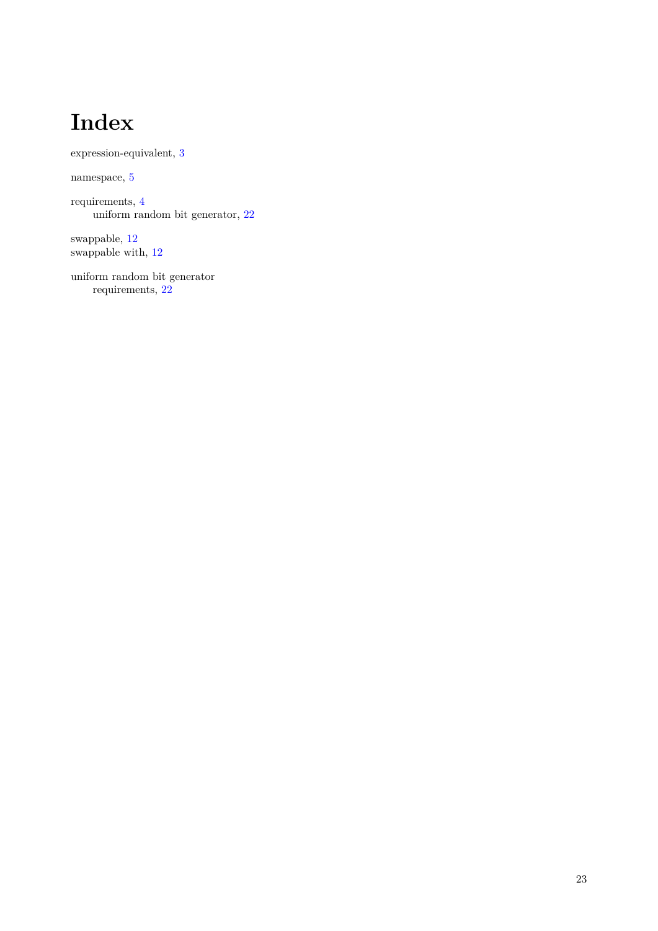# **Index**

<span id="page-24-0"></span>expression-equivalent, [3](#page-4-6)

namespace, [5](#page-6-4)

requirements, [4](#page-5-2) uniform random bit generator,  $22\,$  $22\,$ 

swappable, [12](#page-13-1) swappable with,  $12$ 

uniform random bit generator requirements, [22](#page-23-3)